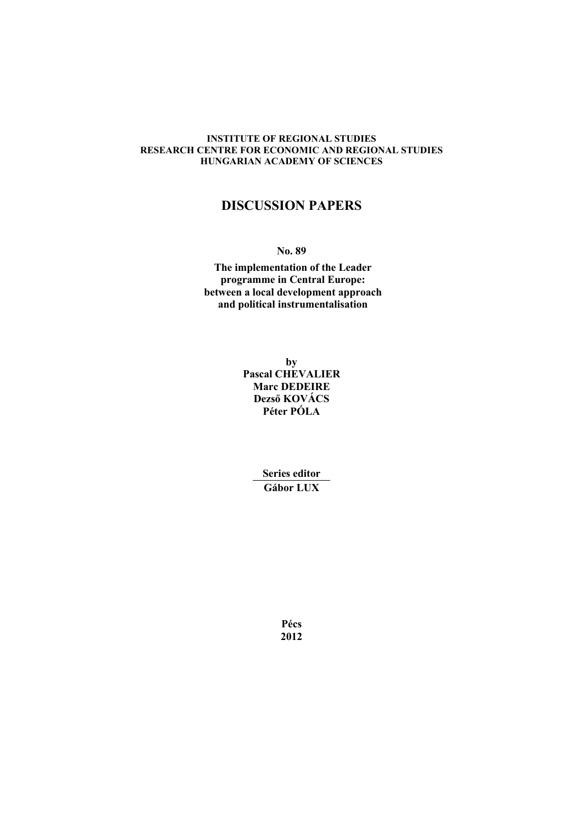#### **INSTITUTE OF REGIONAL STUDIES RESEARCH CENTRE FOR ECONOMIC AND REGIONAL STUDIES HUNGARIAN ACADEMY OF SCIENCES**

# **DISCUSSION PAPERS**

**No. 89**

**The implementation of the Leader programme in Central Europe: between a local development approach and political instrumentalisation**

> **by Pascal CHEVALIER Marc DEDEIRE Dezső KOVÁCS Péter PÓLA**

> > **Series editor Gábor LUX**

> > > **Pécs 2012**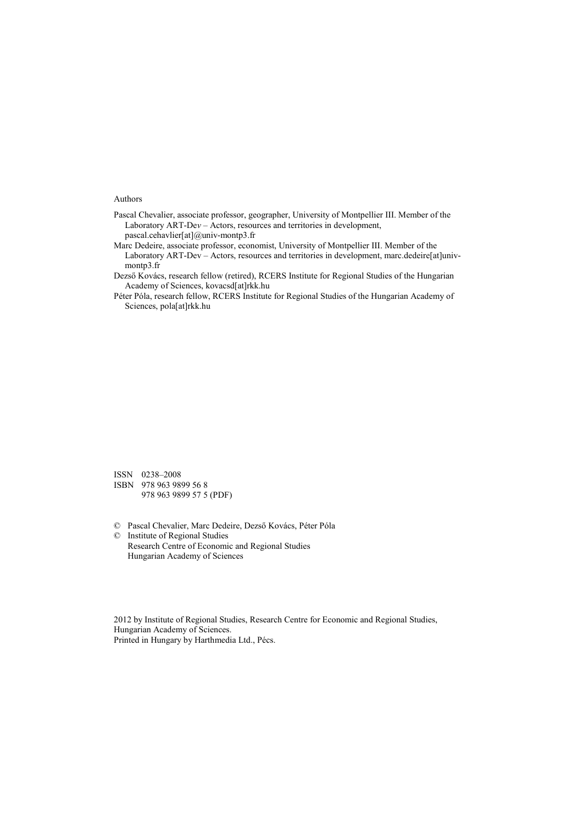Authors

- Pascal Chevalier, associate professor, geographer, University of Montpellier III. Member of the Laboratory ART-De*v* – Actors, resources and territories in development, pascal.cehavlier[at]@univ-montp3.fr
- Marc Dedeire, associate professor, economist, University of Montpellier III. Member of the Laboratory ART-Dev – Actors, resources and territories in development, marc.dedeire[at]univmontp3.fr
- Dezső Kovács, research fellow (retired), RCERS Institute for Regional Studies of the Hungarian Academy of Sciences, kovacsd[at]rkk.hu
- Péter Póla, research fellow, RCERS Institute for Regional Studies of the Hungarian Academy of Sciences, pola[at]rkk.hu

ISSN 0238–2008 ISBN 978 963 9899 56 8 978 963 9899 57 5 (PDF)

- © Pascal Chevalier, Marc Dedeire, Dezső Kovács, Péter Póla
- © Institute of Regional Studies Research Centre of Economic and Regional Studies Hungarian Academy of Sciences

2012 by Institute of Regional Studies, Research Centre for Economic and Regional Studies, Hungarian Academy of Sciences. Printed in Hungary by Harthmedia Ltd., Pécs.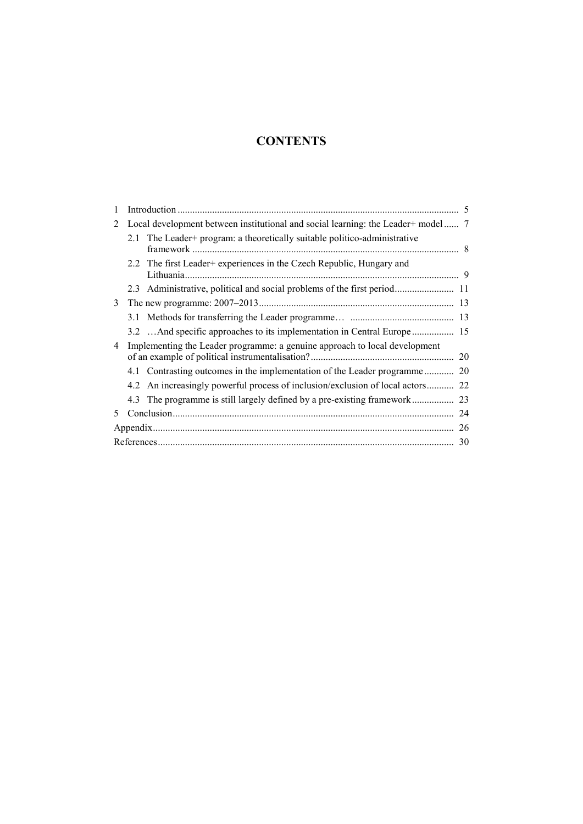# **CONTENTS**

| 1 |                                                                                  |  |
|---|----------------------------------------------------------------------------------|--|
| 2 | Local development between institutional and social learning: the Leader+ model 7 |  |
|   | The Leader + program: a theoretically suitable politico-administrative<br>2.1    |  |
|   | 2.2 The first Leader+ experiences in the Czech Republic, Hungary and             |  |
|   | 2.3 Administrative, political and social problems of the first period 11         |  |
| 3 |                                                                                  |  |
|   |                                                                                  |  |
|   |                                                                                  |  |
| 4 | Implementing the Leader programme: a genuine approach to local development       |  |
|   |                                                                                  |  |
|   | 4.2 An increasingly powerful process of inclusion/exclusion of local actors 22   |  |
|   |                                                                                  |  |
| 5 |                                                                                  |  |
|   |                                                                                  |  |
|   |                                                                                  |  |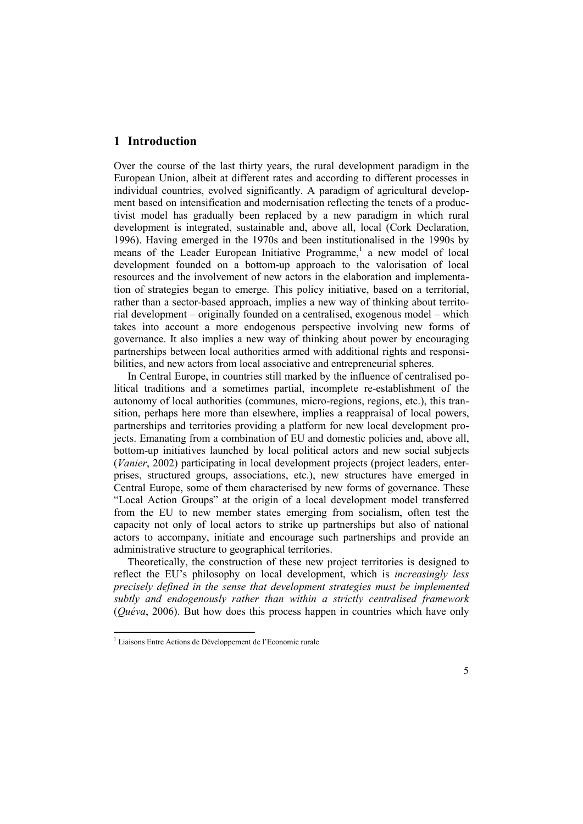## **1 Introduction**

Over the course of the last thirty years, the rural development paradigm in the European Union, albeit at different rates and according to different processes in individual countries, evolved significantly. A paradigm of agricultural develop ment based on intensification and modernisation reflecting the tenets of a productivist model has gradually been replaced by a new paradigm in which rural development is integrated, sustainable and, above all, local (Cork Declaration, 1996). Having emerged in the 1970s and been institutionalised in the 1990s by means of the Leader European Initiative Programme,<sup>1</sup> a new model of local development founded on a bottom-up approach to the valorisation of local resources and the involvement of new actors in the elaboration and implementation of strategies began to emerge. This policy initiative, based on a territorial, rather than a sector-based approach, implies a new way of thinking about territorial development – originally founded on a centralised, exogenous model – which takes into account a more endogenous perspective involving new forms of governance. It also implies a new way of thinking about power by encouraging partnerships between local authorities armed with additional rights and responsi bilities, and new actors from local associative and entrepreneurial spheres.

In Central Europe, in countries still marked by the influence of centralised political traditions and a sometimes partial, incomplete re-establishment of the autonomy of local authorities (communes, micro-regions, regions, etc.), this tran sition, perhaps here more than elsewhere, implies a reappraisal of local powers, partnerships and territories providing a platform for new local development projects. Emanating from a combination of EU and domestic policies and, above all, bottom-up initiatives launched by local political actors and new social subjects (*Vanier*, 2002) participating in local development projects (project leaders, enter prises, structured groups, associations, etc.), new structures have emerged in Central Europe, some of them characterised by new forms of governance. These "Local Action Groups" at the origin of a local development model transferred from the EU to new member states emerging from socialism, often test the capacity not only of local actors to strike up partnerships but also of national actors to accompany, initiate and encourage such partnerships and provide an administrative structure to geographical territories.

Theoretically, the construction of these new project territories is designed to reflect the EU's philosophy on local development, which is *increasingly less precisely defined in the sense that development strategies must be implemented subtly and endogenously rather than within a strictly centralised framework* (*Quéva*, 2006). But how does this process happen in countries which have only

<sup>1</sup> Liaisons Entre Actions de Développement de l'Economie rurale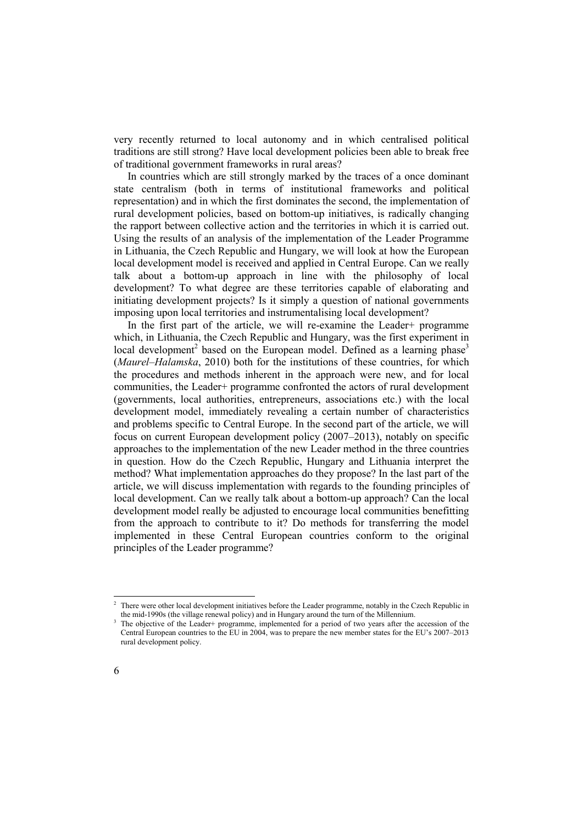very recently returned to local autonomy and in which centralised political traditions are still strong? Have local development policies been able to break free of traditional government frameworks in rural areas?

In countries which are still strongly marked by the traces of a once dominant state centralism (both in terms of institutional frameworks and political representation) and in which the first dominates the second, the implementation of rural development policies, based on bottom-up initiatives, is radically changing the rapport between collective action and the territories in which it is carried out. Using the results of an analysis of the implementation of the Leader Programme in Lithuania, the Czech Republic and Hungary, we will look at how the European local development model is received and applied in Central Europe. Can we really talk about a bottom-up approach in line with the philosophy of local development? To what degree are these territories capable of elaborating and initiating development projects? Is it simply a question of national governments imposing upon local territories and instrumentalising local development?

In the first part of the article, we will re-examine the Leader+ programme which, in Lithuania, the Czech Republic and Hungary, was the first experiment in local development<sup>2</sup> based on the European model. Defined as a learning phase<sup>3</sup> (*Maurel*–*Halamska*, 2010) both for the institutions of these countries, for which the procedures and methods inherent in the approach were new, and for local communities, the Leader+ programme confronted the actors of rural development (governments, local authorities, entrepreneurs, associations etc.) with the local development model, immediately revealing a certain number of characteristics and problems specific to Central Europe. In the second part of the article, we will focus on current European development policy (2007–2013), notably on specific approaches to the implementation of the new Leader method in the three countries in question. How do the Czech Republic, Hungary and Lithuania interpret the method? What implementation approaches do they propose? In the last part of the article, we will discuss implementation with regards to the founding principles of local development. Can we really talk about a bottom-up approach? Can the local development model really be adjusted to encourage local communities benefitting from the approach to contribute to it? Do methods for transferring the model implemented in these Central European countries conform to the original principles of the Leader programme?

<sup>&</sup>lt;sup>2</sup> There were other local development initiatives before the Leader programme, notably in the Czech Republic in the mid-1990s (the village renewal policy) and in Hungary around the turn of the Millennium.

The objective of the Leader+ programme, implemented for a period of two years after the accession of the Central European countries to the EU in 2004, was to prepare the new member states for the EU's 2007–2013 rural development policy.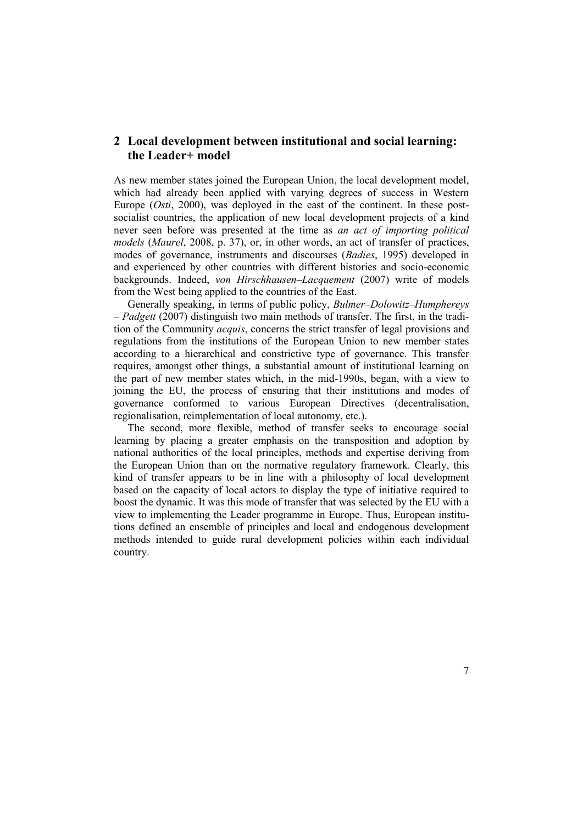## **2 Local development between institutional and social learning: the Leader+ model**

As new member states joined the European Union, the local development model, which had already been applied with varying degrees of success in Western Europe (*Osti*, 2000), was deployed in the east of the continent. In these post socialist countries, the application of new local development projects of a kind never seen before was presented at the time as *an act of importing political models* (*Maurel*, 2008, p. 37), or, in other words, an act of transfer of practices, modes of governance, instruments and discourses (*Badies*, 1995) developed in and experienced by other countries with different histories and socio-economic backgrounds. Indeed, *von Hirschhausen*–*Lacquement* (2007) write of models from the West being applied to the countries of the East.

Generally speaking, in terms of public policy, *Bulmer–Dolowitz–Humphereys – Padgett* (2007) distinguish two main methods of transfer. The first, in the tradition of the Community *acquis*, concerns the strict transfer of legal provisions and regulations from the institutions of the European Union to new member states according to a hierarchical and constrictive type of governance. This transfer requires, amongst other things, a substantial amount of institutional learning on the part of new member states which, in the mid-1990s, began, with a view to joining the EU, the process of ensuring that their institutions and modes of governance conformed to various European Directives (decentralisation, regionalisation, reimplementation of local autonomy, etc.).

The second, more flexible, method of transfer seeks to encourage social learning by placing a greater emphasis on the transposition and adoption by national authorities of the local principles, methods and expertise deriving from the European Union than on the normative regulatory framework. Clearly, this kind of transfer appears to be in line with a philosophy of local development based on the capacity of local actors to display the type of initiative required to boost the dynamic. It was this mode of transfer that was selected by the EU with a view to implementing the Leader programme in Europe. Thus, European institutions defined an ensemble of principles and local and endogenous development methods intended to guide rural development policies within each individual country.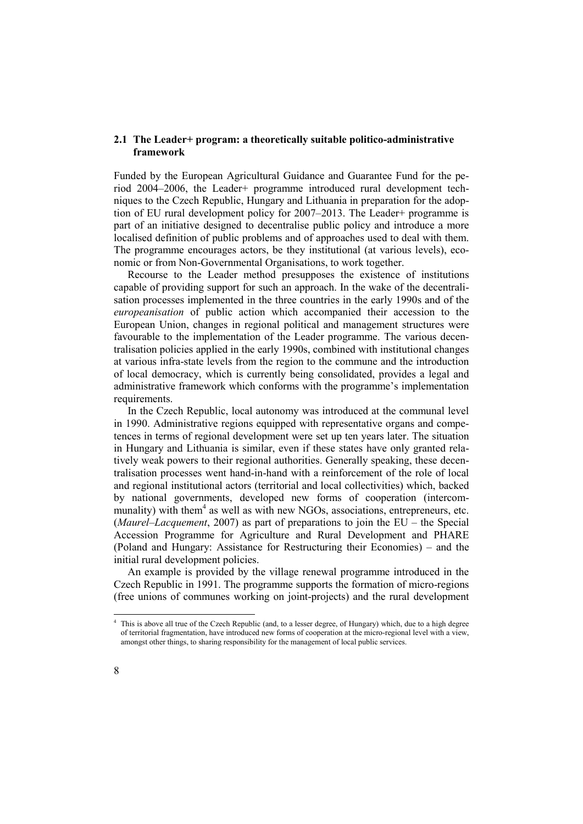#### **2.1 The Leader+ program: a theoretically suitable politico-administrative framework**

Funded by the European Agricultural Guidance and Guarantee Fund for the period 2004–2006, the Leader+ programme introduced rural development tech niques to the Czech Republic, Hungary and Lithuania in preparation for the adoption of EU rural development policy for 2007–2013. The Leader+ programme is part of an initiative designed to decentralise public policy and introduce a more localised definition of public problems and of approaches used to deal with them. The programme encourages actors, be they institutional (at various levels), eco nomic or from Non-Governmental Organisations, to work together.

Recourse to the Leader method presupposes the existence of institutions capable of providing support for such an approach. In the wake of the decentrali sation processes implemented in the three countries in the early 1990s and of the *europeanisation* of public action which accompanied their accession to the European Union, changes in regional political and management structures were favourable to the implementation of the Leader programme. The various decentralisation policies applied in the early 1990s, combined with institutional changes at various infra-state levels from the region to the commune and the introduction of local democracy, which is currently being consolidated, provides a legal and administrative framework which conforms with the programme's implementation requirements.

In the Czech Republic, local autonomy was introduced at the communal level in 1990. Administrative regions equipped with representative organs and competences in terms of regional development were set up ten years later. The situation in Hungary and Lithuania is similar, even if these states have only granted relatively weak powers to their regional authorities. Generally speaking, these decentralisation processes went hand-in-hand with a reinforcement of the role of local and regional institutional actors (territorial and local collectivities) which, backed by national governments, developed new forms of cooperation (intercom munality) with them<sup>4</sup> as well as with new NGOs, associations, entrepreneurs, etc. (*Maurel–Lacquement*, 2007) as part of preparations to join the EU – the Special Accession Programme for Agriculture and Rural Development and PHARE (Poland and Hungary: Assistance for Restructuring their Economies) – and the initial rural development policies.

An example is provided by the village renewal programme introduced in the Czech Republic in 1991. The programme supports the formation of micro-regions (free unions of communes working on joint-projects) and the rural development

<sup>4</sup> This is above all true of the Czech Republic (and, to a lesser degree, of Hungary) which, due to a high degree of territorial fragmentation, have introduced new forms of cooperation at the micro-regional level with a view, amongst other things, to sharing responsibility for the management of local public services.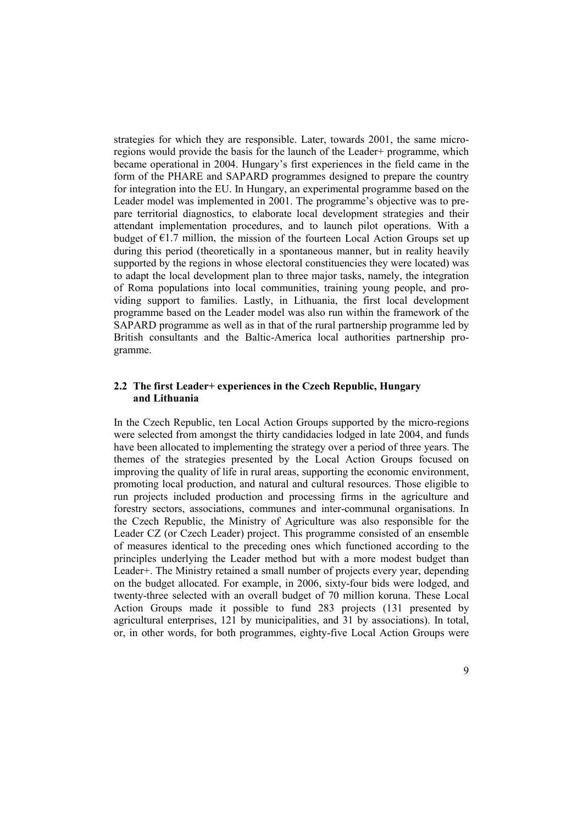strategies for which they are responsible. Later, towards 2001, the same microregions would provide the basis for the launch of the Leader+ programme, which became operational in 2004. Hungary's first experiences in the field came in the form of the PHARE and SAPARD programmes designed to prepare the country for integration into the EU. In Hungary, an experimental programme based on the Leader model was implemented in 2001. The programme's objective was to pre pare territorial diagnostics, to elaborate local development strategies and their attendant implementation procedures, and to launch pilot operations. With a budget of  $E1.7$  million, the mission of the fourteen Local Action Groups set up during this period (theoretically in a spontaneous manner, but in reality heavily supported by the regions in whose electoral constituencies they were located) was to adapt the local development plan to three major tasks, namely, the integration of Roma populations into local communities, training young people, and pro viding support to families. Lastly, in Lithuania, the first local development programme based on the Leader model was also run within the framework of the SAPARD programme as well as in that of the rural partnership programme led by British consultants and the Baltic-America local authorities partnership pro gramme.

#### **2.2 The first Leader+ experiences in the Czech Republic, Hungary and Lithuania**

In the Czech Republic, ten Local Action Groups supported by the micro-regions were selected from amongst the thirty candidacies lodged in late 2004, and funds have been allocated to implementing the strategy over a period of three years. The themes of the strategies presented by the Local Action Groups focused on improving the quality of life in rural areas, supporting the economic environment, promoting local production, and natural and cultural resources. Those eligible to run projects included production and processing firms in the agriculture and forestry sectors, associations, communes and inter-communal organisations. In the Czech Republic, the Ministry of Agriculture was also responsible for the Leader CZ (or Czech Leader) project. This programme consisted of an ensemble of measures identical to the preceding ones which functioned according to the principles underlying the Leader method but with a more modest budget than Leader+. The Ministry retained a small number of projects every year, depending on the budget allocated. For example, in 2006, sixty-four bids were lodged, and twenty-three selected with an overall budget of 70 million koruna. These Local Action Groups made it possible to fund 283 projects (131 presented by agricultural enterprises, 121 by municipalities, and 31 by associations). In total, or, in other words, for both programmes, eighty-five Local Action Groups were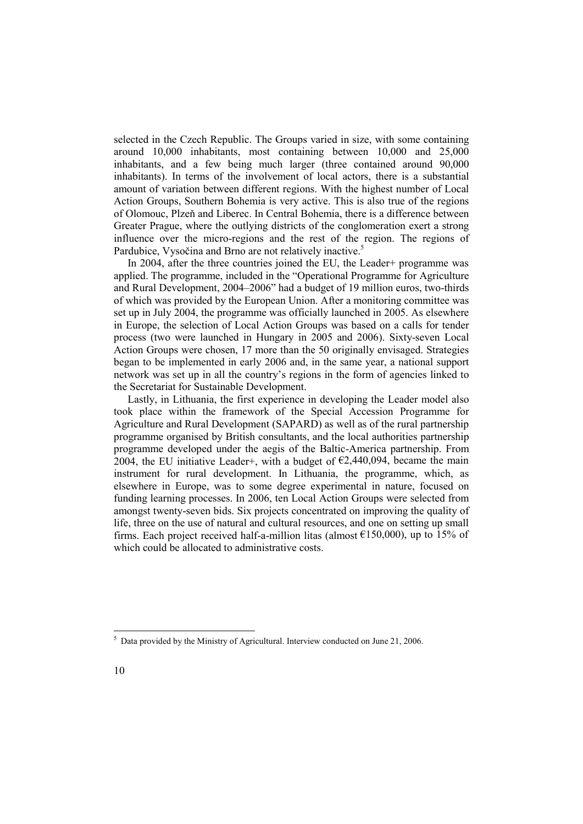selected in the Czech Republic. The Groups varied in size, with some containing around 10,000 inhabitants, most containing between 10,000 and 25,000 inhabitants, and a few being much larger (three contained around 90,000 inhabitants). In terms of the involvement of local actors, there is a substantial amount of variation between different regions. With the highest number of Local Action Groups, Southern Bohemia is very active. This is also true of the regions of Olomouc, Plzeň and Liberec. In Central Bohemia, there is a difference between Greater Prague, where the outlying districts of the conglomeration exert a strong influence over the micro-regions and the rest of the region. The regions of Pardubice, Vysočina and Brno are not relatively inactive.<sup>5</sup>

In 2004, after the three countries joined the EU, the Leader+ programme was applied. The programme, included in the "Operational Programme for Agriculture and Rural Development, 2004–2006" had a budget of 19 million euros, two-thirds of which was provided by the European Union. After a monitoring committee was set up in July 2004, the programme was officially launched in 2005. As elsewhere in Europe, the selection of Local Action Groups was based on a calls for tender process (two were launched in Hungary in 2005 and 2006). Sixty-seven Local Action Groups were chosen, 17 more than the 50 originally envisaged. Strategies began to be implemented in early 2006 and, in the same year, a national support network was set up in all the country's regions in the form of agencies linked to the Secretariat for Sustainable Development.

Lastly, in Lithuania, the first experience in developing the Leader model also took place within the framework of the Special Accession Programme for Agriculture and Rural Development (SAPARD) as well as of the rural partnership programme organised by British consultants, and the local authorities partnership programme developed under the aegis of the Baltic-America partnership. From 2004, the EU initiative Leader+, with a budget of  $\epsilon$ 2,440,094, became the main instrument for rural development. In Lithuania, the programme, which, as elsewhere in Europe, was to some degree experimental in nature, focused on funding learning processes. In 2006, ten Local Action Groups were selected from amongst twenty-seven bids. Six projects concentrated on improving the quality of life, three on the use of natural and cultural resources, and one on setting up small firms. Each project received half-a-million litas (almost  $\epsilon$ 150,000), up to 15% of which could be allocated to administrative costs.

<sup>&</sup>lt;sup>5</sup> Data provided by the Ministry of Agricultural. Interview conducted on June 21, 2006.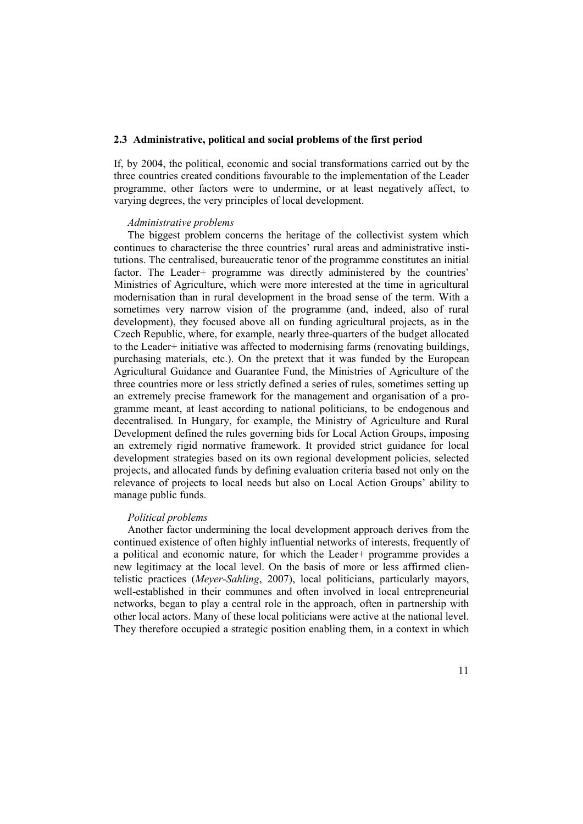#### **2.3 Administrative, political and social problems of the first period**

If, by 2004, the political, economic and social transformations carried out by the three countries created conditions favourable to the implementation of the Leader programme, other factors were to undermine, or at least negatively affect, to varying degrees, the very principles of local development.

#### *Administrative problems*

The biggest problem concerns the heritage of the collectivist system which continues to characterise the three countries' rural areas and administrative institutions. The centralised, bureaucratic tenor of the programme constitutes an initial factor. The Leader+ programme was directly administered by the countries' Ministries of Agriculture, which were more interested at the time in agricultural modernisation than in rural development in the broad sense of the term. With a sometimes very narrow vision of the programme (and, indeed, also of rural development), they focused above all on funding agricultural projects, as in the Czech Republic, where, for example, nearly three-quarters of the budget allocated to the Leader+ initiative was affected to modernising farms (renovating buildings, purchasing materials, etc.). On the pretext that it was funded by the European Agricultural Guidance and Guarantee Fund, the Ministries of Agriculture of the three countries more or less strictly defined a series of rules, sometimes setting up an extremely precise framework for the management and organisation of a pro gramme meant, at least according to national politicians, to be endogenous and decentralised. In Hungary, for example, the Ministry of Agriculture and Rural Development defined the rules governing bids for Local Action Groups, imposing an extremely rigid normative framework. It provided strict guidance for local development strategies based on its own regional development policies, selected projects, and allocated funds by defining evaluation criteria based not only on the relevance of projects to local needs but also on Local Action Groups' ability to manage public funds.

#### *Political problems*

Another factor undermining the local development approach derives from the continued existence of often highly influential networks of interests, frequently of a political and economic nature, for which the Leader+ programme provides a new legitimacy at the local level. On the basis of more or less affirmed clientelistic practices (*Meyer-Sahling*, 2007), local politicians, particularly mayors, well-established in their communes and often involved in local entrepreneurial networks, began to play a central role in the approach, often in partnership with other local actors. Many of these local politicians were active at the national level. They therefore occupied a strategic position enabling them, in a context in which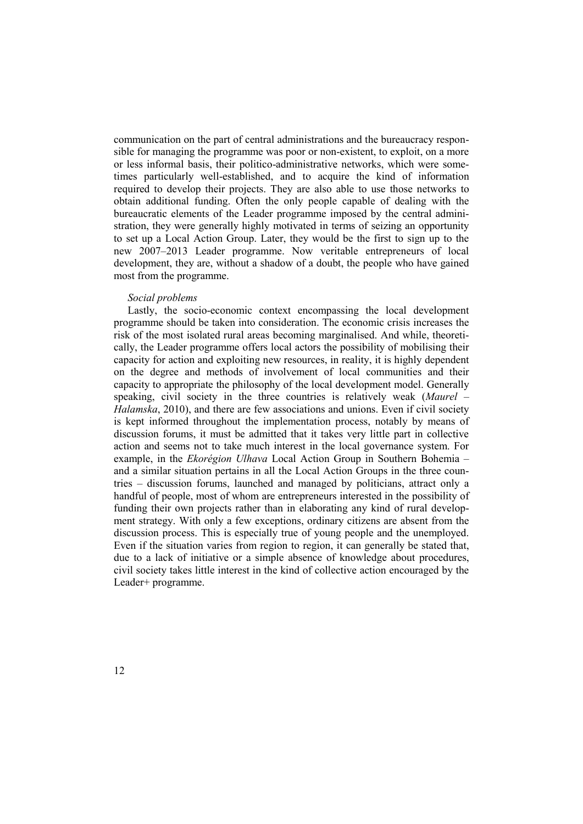communication on the part of central administrations and the bureaucracy respon sible for managing the programme was poor or non-existent, to exploit, on a more or less informal basis, their politico-administrative networks, which were sometimes particularly well-established, and to acquire the kind of information required to develop their projects. They are also able to use those networks to obtain additional funding. Often the only people capable of dealing with the bureaucratic elements of the Leader programme imposed by the central admini stration, they were generally highly motivated in terms of seizing an opportunity to set up a Local Action Group. Later, they would be the first to sign up to the new 2007–2013 Leader programme. Now veritable entrepreneurs of local development, they are, without a shadow of a doubt, the people who have gained most from the programme.

#### *Social problems*

Lastly, the socio-economic context encompassing the local development programme should be taken into consideration. The economic crisis increases the risk of the most isolated rural areas becoming marginalised. And while, theoreti cally, the Leader programme offers local actors the possibility of mobilising their capacity for action and exploiting new resources, in reality, it is highly dependent on the degree and methods of involvement of local communities and their capacity to appropriate the philosophy of the local development model. Generally speaking, civil society in the three countries is relatively weak (*Maurel – Halamska*, 2010), and there are few associations and unions. Even if civil society is kept informed throughout the implementation process, notably by means of discussion forums, it must be admitted that it takes very little part in collective action and seems not to take much interest in the local governance system. For example, in the *Ekorégion Ulhava* Local Action Group in Southern Bohemia – and a similar situation pertains in all the Local Action Groups in the three countries – discussion forums, launched and managed by politicians, attract only a handful of people, most of whom are entrepreneurs interested in the possibility of funding their own projects rather than in elaborating any kind of rural develop ment strategy. With only a few exceptions, ordinary citizens are absent from the discussion process. This is especially true of young people and the unemployed. Even if the situation varies from region to region, it can generally be stated that, due to a lack of initiative or a simple absence of knowledge about procedures, civil society takes little interest in the kind of collective action encouraged by the Leader+ programme.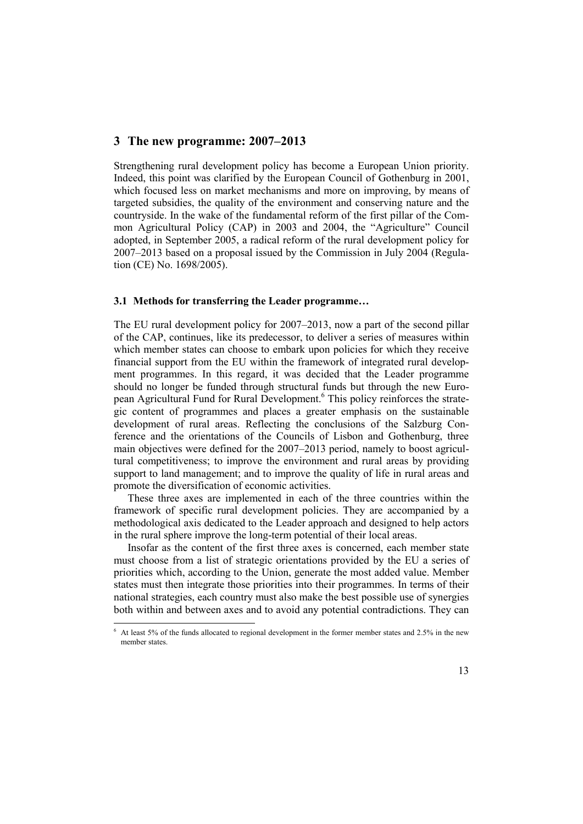## **3 The new programme: 2007–2013**

Strengthening rural development policy has become a European Union priority. Indeed, this point was clarified by the European Council of Gothenburg in 2001, which focused less on market mechanisms and more on improving, by means of targeted subsidies, the quality of the environment and conserving nature and the countryside. In the wake of the fundamental reform of the first pillar of the Com mon Agricultural Policy (CAP) in 2003 and 2004, the "Agriculture" Council adopted, in September 2005, a radical reform of the rural development policy for 2007–2013 based on a proposal issued by the Commission in July 2004 (Regulation (CE) No. 1698/2005).

#### **3.1 Methods for transferring the Leader programme…**

The EU rural development policy for 2007–2013, now a part of the second pillar of the CAP, continues, like its predecessor, to deliver a series of measures within which member states can choose to embark upon policies for which they receive financial support from the EU within the framework of integrated rural develop ment programmes. In this regard, it was decided that the Leader programme should no longer be funded through structural funds but through the new Euro pean Agricultural Fund for Rural Development.<sup>6</sup> This policy reinforces the strate gic content of programmes and places a greater emphasis on the sustainable development of rural areas. Reflecting the conclusions of the Salzburg Conference and the orientations of the Councils of Lisbon and Gothenburg, three main objectives were defined for the 2007–2013 period, namely to boost agricultural competitiveness; to improve the environment and rural areas by providing support to land management; and to improve the quality of life in rural areas and promote the diversification of economic activities.

These three axes are implemented in each of the three countries within the framework of specific rural development policies. They are accompanied by a methodological axis dedicated to the Leader approach and designed to help actors in the rural sphere improve the long-term potential of their local areas.

Insofar as the content of the first three axes is concerned, each member state must choose from a list of strategic orientations provided by the EU a series of priorities which, according to the Union, generate the most added value. Member states must then integrate those priorities into their programmes. In terms of their national strategies, each country must also make the best possible use of synergies both within and between axes and to avoid any potential contradictions. They can

<sup>6</sup> At least 5% of the funds allocated to regional development in the former member states and 2.5% in the new member states.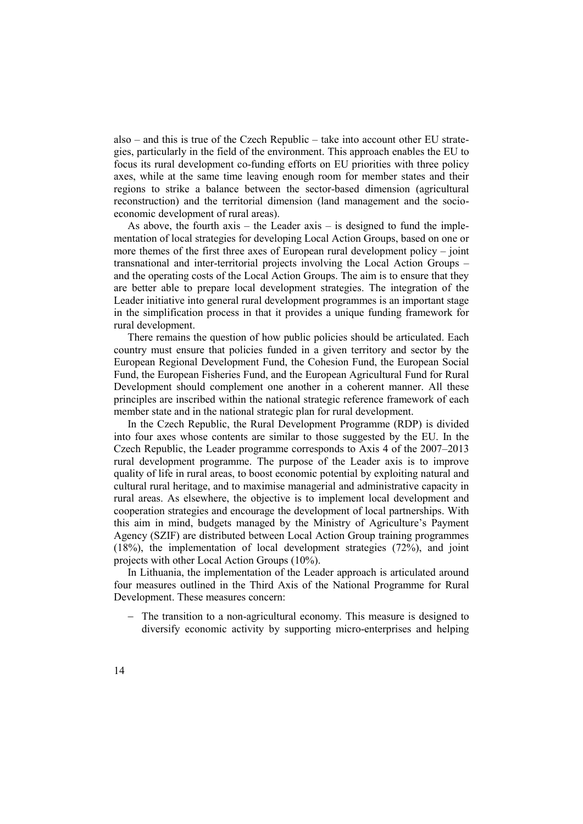also – and this is true of the Czech Republic – take into account other EU strate gies, particularly in the field of the environment. This approach enables the EU to focus its rural development co-funding efforts on EU priorities with three policy axes, while at the same time leaving enough room for member states and their regions to strike a balance between the sector-based dimension (agricultural reconstruction) and the territorial dimension (land management and the socio economic development of rural areas).

As above, the fourth axis – the Leader axis – is designed to fund the implementation of local strategies for developing Local Action Groups, based on one or more themes of the first three axes of European rural development policy – joint transnational and inter-territorial projects involving the Local Action Groups – and the operating costs of the Local Action Groups. The aim is to ensure that they are better able to prepare local development strategies. The integration of the Leader initiative into general rural development programmes is an important stage in the simplification process in that it provides a unique funding framework for rural development.

There remains the question of how public policies should be articulated. Each country must ensure that policies funded in a given territory and sector by the European Regional Development Fund, the Cohesion Fund, the European Social Fund, the European Fisheries Fund, and the European Agricultural Fund for Rural Development should complement one another in a coherent manner. All these principles are inscribed within the national strategic reference framework of each member state and in the national strategic plan for rural development.

In the Czech Republic, the Rural Development Programme (RDP) is divided into four axes whose contents are similar to those suggested by the EU. In the Czech Republic, the Leader programme corresponds to Axis 4 of the 2007–2013 rural development programme. The purpose of the Leader axis is to improve quality of life in rural areas, to boost economic potential by exploiting natural and cultural rural heritage, and to maximise managerial and administrative capacity in rural areas. As elsewhere, the objective is to implement local development and cooperation strategies and encourage the development of local partnerships. With this aim in mind, budgets managed by the Ministry of Agriculture's Payment Agency (SZIF) are distributed between Local Action Group training programmes (18%), the implementation of local development strategies (72%), and joint projects with other Local Action Groups (10%).

In Lithuania, the implementation of the Leader approach is articulated around four measures outlined in the Third Axis of the National Programme for Rural Development. These measures concern:

 The transition to a non-agricultural economy. This measure is designed to diversify economic activity by supporting micro-enterprises and helping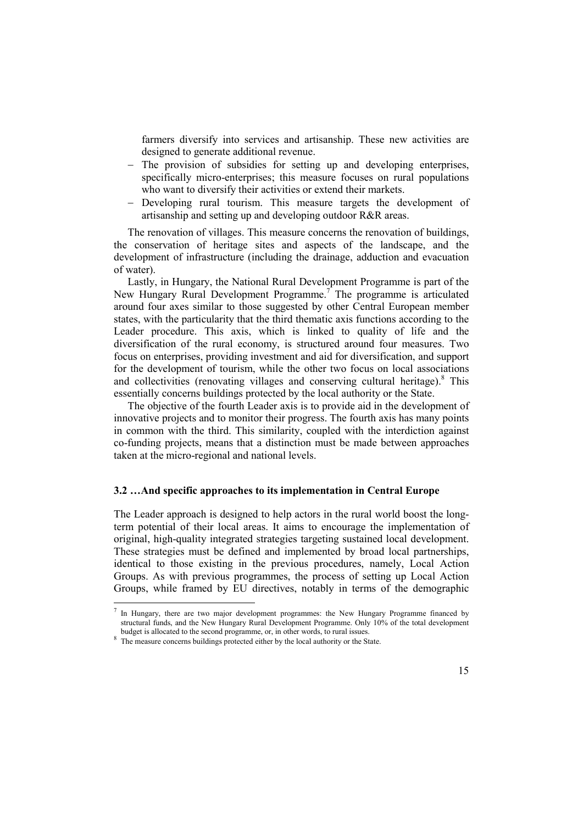farmers diversify into services and artisanship. These new activities are designed to generate additional revenue.

- The provision of subsidies for setting up and developing enterprises, specifically micro-enterprises; this measure focuses on rural populations who want to diversify their activities or extend their markets.
- Developing rural tourism. This measure targets the development of artisanship and setting up and developing outdoor R&R areas.

The renovation of villages. This measure concerns the renovation of buildings, the conservation of heritage sites and aspects of the landscape, and the development of infrastructure (including the drainage, adduction and evacuation of water).

Lastly, in Hungary, the National Rural Development Programme is part of the New Hungary Rural Development Programme.<sup>7</sup> The programme is articulated around four axes similar to those suggested by other Central European member states, with the particularity that the third thematic axis functions according to the Leader procedure. This axis, which is linked to quality of life and the diversification of the rural economy, is structured around four measures. Two focus on enterprises, providing investment and aid for diversification, and support for the development of tourism, while the other two focus on local associations and collectivities (renovating villages and conserving cultural heritage).<sup>8</sup> This essentially concerns buildings protected by the local authority or the State.

The objective of the fourth Leader axis is to provide aid in the development of innovative projects and to monitor their progress. The fourth axis has many points in common with the third. This similarity, coupled with the interdiction against co-funding projects, means that a distinction must be made between approaches taken at the micro-regional and national levels.

#### **3.2 …And specific approaches to its implementation in Central Europe**

The Leader approach is designed to help actors in the rural world boost the longterm potential of their local areas. It aims to encourage the implementation of original, high-quality integrated strategies targeting sustained local development. These strategies must be defined and implemented by broad local partnerships, identical to those existing in the previous procedures, namely, Local Action Groups. As with previous programmes, the process of setting up Local Action Groups, while framed by EU directives, notably in terms of the demographic

<sup>7</sup> In Hungary, there are two major development programmes: the New Hungary Programme financed by structural funds, and the New Hungary Rural Development Programme. Only 10% of the total development

budget is allocated to the second programme, or, in other words, to rural issues. <sup>8</sup> The measure concerns buildings protected either by the local authority or the State.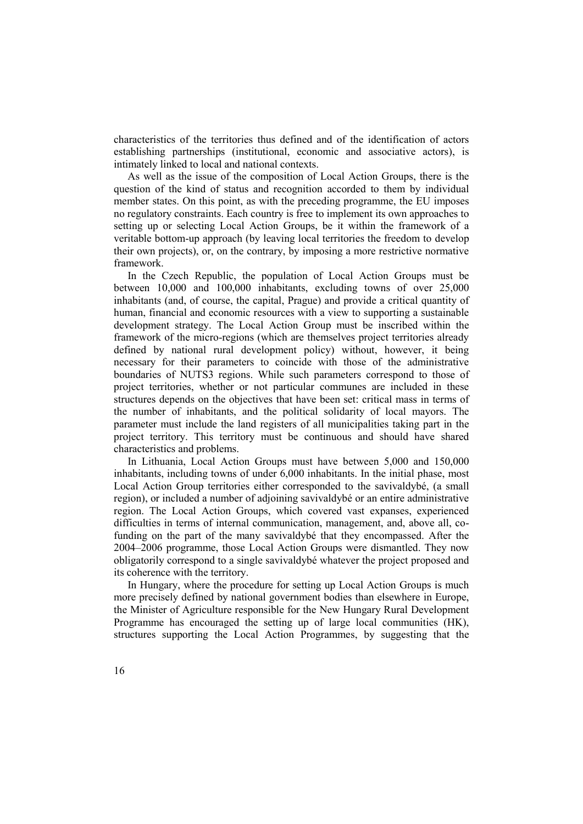characteristics of the territories thus defined and of the identification of actors establishing partnerships (institutional, economic and associative actors), is intimately linked to local and national contexts.

As well as the issue of the composition of Local Action Groups, there is the question of the kind of status and recognition accorded to them by individual member states. On this point, as with the preceding programme, the EU imposes no regulatory constraints. Each country is free to implement its own approaches to setting up or selecting Local Action Groups, be it within the framework of a veritable bottom-up approach (by leaving local territories the freedom to develop their own projects), or, on the contrary, by imposing a more restrictive normative framework.

In the Czech Republic, the population of Local Action Groups must be between 10,000 and 100,000 inhabitants, excluding towns of over 25,000 inhabitants (and, of course, the capital, Prague) and provide a critical quantity of human, financial and economic resources with a view to supporting a sustainable development strategy. The Local Action Group must be inscribed within the framework of the micro-regions (which are themselves project territories already defined by national rural development policy) without, however, it being necessary for their parameters to coincide with those of the administrative boundaries of NUTS3 regions. While such parameters correspond to those of project territories, whether or not particular communes are included in these structures depends on the objectives that have been set: critical mass in terms of the number of inhabitants, and the political solidarity of local mayors. The parameter must include the land registers of all municipalities taking part in the project territory. This territory must be continuous and should have shared characteristics and problems.

In Lithuania, Local Action Groups must have between 5,000 and 150,000 inhabitants, including towns of under 6,000 inhabitants. In the initial phase, most Local Action Group territories either corresponded to the savivaldybé, (a small region), or included a number of adjoining savivaldybé or an entire administrative region. The Local Action Groups, which covered vast expanses, experienced difficulties in terms of internal communication, management, and, above all, cofunding on the part of the many savivaldybé that they encompassed. After the 2004–2006 programme, those Local Action Groups were dismantled. They now obligatorily correspond to a single savivaldybé whatever the project proposed and its coherence with the territory.

In Hungary, where the procedure for setting up Local Action Groups is much more precisely defined by national government bodies than elsewhere in Europe, the Minister of Agriculture responsible for the New Hungary Rural Development Programme has encouraged the setting up of large local communities (HK), structures supporting the Local Action Programmes, by suggesting that the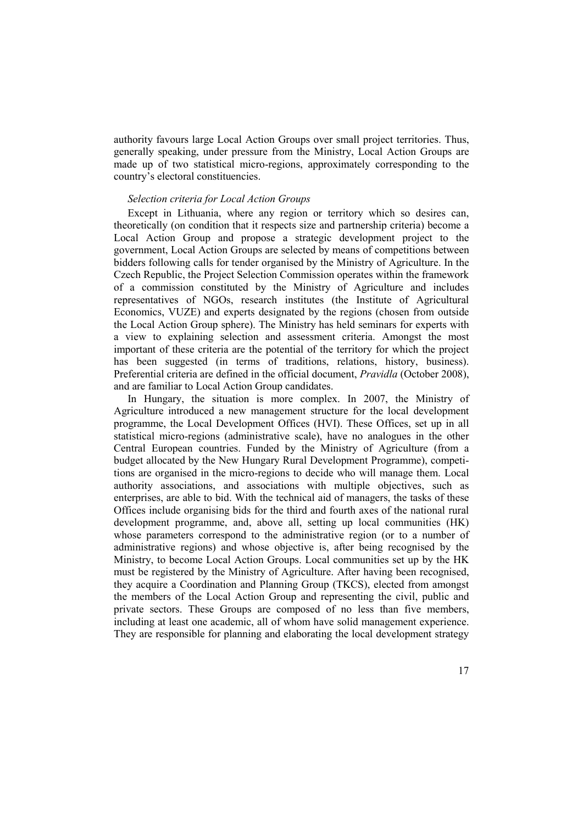authority favours large Local Action Groups over small project territories. Thus, generally speaking, under pressure from the Ministry, Local Action Groups are made up of two statistical micro-regions, approximately corresponding to the country's electoral constituencies.

#### *Selection criteria for Local Action Groups*

Except in Lithuania, where any region or territory which so desires can, theoretically (on condition that it respects size and partnership criteria) become a Local Action Group and propose a strategic development project to the government, Local Action Groups are selected by means of competitions between bidders following calls for tender organised by the Ministry of Agriculture. In the Czech Republic, the Project Selection Commission operates within the framework of a commission constituted by the Ministry of Agriculture and includes representatives of NGOs, research institutes (the Institute of Agricultural Economics, VUZE) and experts designated by the regions (chosen from outside the Local Action Group sphere). The Ministry has held seminars for experts with a view to explaining selection and assessment criteria. Amongst the most important of these criteria are the potential of the territory for which the project has been suggested (in terms of traditions, relations, history, business). Preferential criteria are defined in the official document, *Pravidla* (October 2008), and are familiar to Local Action Group candidates.

In Hungary, the situation is more complex. In 2007, the Ministry of Agriculture introduced a new management structure for the local development programme, the Local Development Offices (HVI). These Offices, set up in all statistical micro-regions (administrative scale), have no analogues in the other Central European countries. Funded by the Ministry of Agriculture (from a budget allocated by the New Hungary Rural Development Programme), competitions are organised in the micro-regions to decide who will manage them. Local authority associations, and associations with multiple objectives, such as enterprises, are able to bid. With the technical aid of managers, the tasks of these Offices include organising bids for the third and fourth axes of the national rural development programme, and, above all, setting up local communities (HK) whose parameters correspond to the administrative region (or to a number of administrative regions) and whose objective is, after being recognised by the Ministry, to become Local Action Groups. Local communities set up by the HK must be registered by the Ministry of Agriculture. After having been recognised, they acquire a Coordination and Planning Group (TKCS), elected from amongst the members of the Local Action Group and representing the civil, public and private sectors. These Groups are composed of no less than five members, including at least one academic, all of whom have solid management experience. They are responsible for planning and elaborating the local development strategy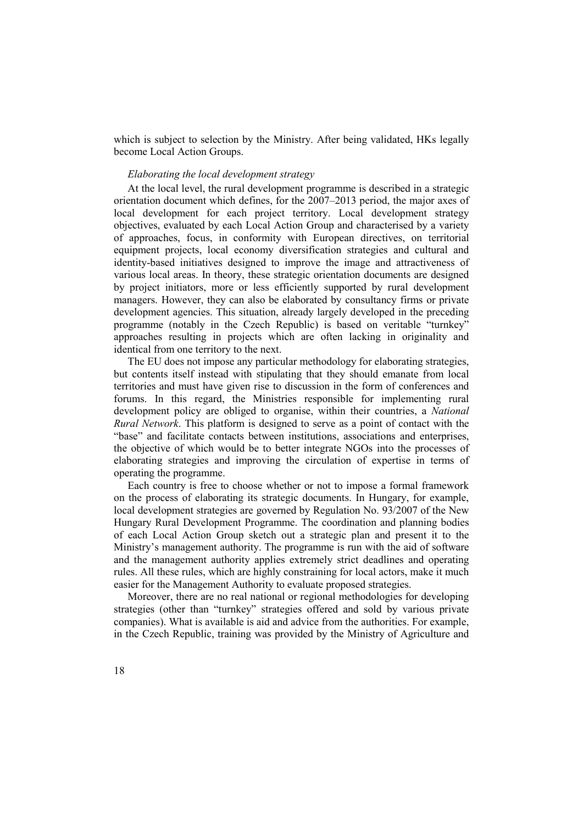which is subject to selection by the Ministry. After being validated, HKs legally become Local Action Groups.

#### *Elaborating the local development strategy*

At the local level, the rural development programme is described in a strategic orientation document which defines, for the 2007–2013 period, the major axes of local development for each project territory. Local development strategy objectives, evaluated by each Local Action Group and characterised by a variety of approaches, focus, in conformity with European directives, on territorial equipment projects, local economy diversification strategies and cultural and identity-based initiatives designed to improve the image and attractiveness of various local areas. In theory, these strategic orientation documents are designed by project initiators, more or less efficiently supported by rural development managers. However, they can also be elaborated by consultancy firms or private development agencies. This situation, already largely developed in the preceding programme (notably in the Czech Republic) is based on veritable "turnkey" approaches resulting in projects which are often lacking in originality and identical from one territory to the next.

The EU does not impose any particular methodology for elaborating strategies, but contents itself instead with stipulating that they should emanate from local territories and must have given rise to discussion in the form of conferences and forums. In this regard, the Ministries responsible for implementing rural development policy are obliged to organise, within their countries, a *National Rural Network*. This platform is designed to serve as a point of contact with the "base" and facilitate contacts between institutions, associations and enterprises, the objective of which would be to better integrate NGOs into the processes of elaborating strategies and improving the circulation of expertise in terms of operating the programme.

Each country is free to choose whether or not to impose a formal framework on the process of elaborating its strategic documents. In Hungary, for example, local development strategies are governed by Regulation No. 93/2007 of the New Hungary Rural Development Programme. The coordination and planning bodies of each Local Action Group sketch out a strategic plan and present it to the Ministry's management authority. The programme is run with the aid of software and the management authority applies extremely strict deadlines and operating rules. All these rules, which are highly constraining for local actors, make it much easier for the Management Authority to evaluate proposed strategies.

Moreover, there are no real national or regional methodologies for developing strategies (other than "turnkey" strategies offered and sold by various private companies). What is available is aid and advice from the authorities. For example, in the Czech Republic, training was provided by the Ministry of Agriculture and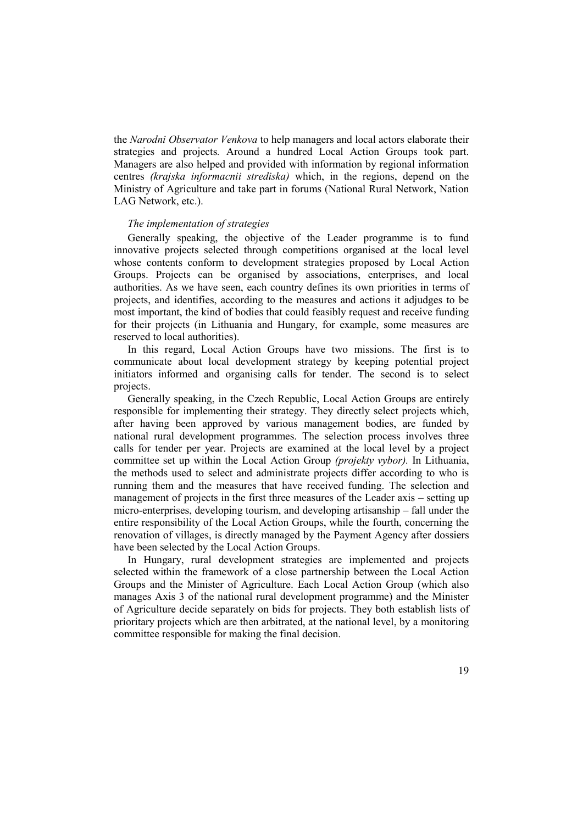the *Narodni Observator Venkova* to help managers and local actors elaborate their strategies and projects*.* Around a hundred Local Action Groups took part. Managers are also helped and provided with information by regional information centres *(krajska informacnii strediska)* which, in the regions, depend on the Ministry of Agriculture and take part in forums (National Rural Network, Nation LAG Network, etc.).

#### *The implementation of strategies*

Generally speaking, the objective of the Leader programme is to fund innovative projects selected through competitions organised at the local level whose contents conform to development strategies proposed by Local Action Groups. Projects can be organised by associations, enterprises, and local authorities. As we have seen, each country defines its own priorities in terms of projects, and identifies, according to the measures and actions it adjudges to be most important, the kind of bodies that could feasibly request and receive funding for their projects (in Lithuania and Hungary, for example, some measures are reserved to local authorities).

In this regard, Local Action Groups have two missions. The first is to communicate about local development strategy by keeping potential project initiators informed and organising calls for tender. The second is to select projects.

Generally speaking, in the Czech Republic, Local Action Groups are entirely responsible for implementing their strategy. They directly select projects which, after having been approved by various management bodies, are funded by national rural development programmes. The selection process involves three calls for tender per year. Projects are examined at the local level by a project committee set up within the Local Action Group *(projekty vybor).* In Lithuania, the methods used to select and administrate projects differ according to who is running them and the measures that have received funding. The selection and management of projects in the first three measures of the Leader axis – setting up micro-enterprises, developing tourism, and developing artisanship – fall under the entire responsibility of the Local Action Groups, while the fourth, concerning the renovation of villages, is directly managed by the Payment Agency after dossiers have been selected by the Local Action Groups.

In Hungary, rural development strategies are implemented and projects selected within the framework of a close partnership between the Local Action Groups and the Minister of Agriculture. Each Local Action Group (which also manages Axis 3 of the national rural development programme) and the Minister of Agriculture decide separately on bids for projects. They both establish lists of prioritary projects which are then arbitrated, at the national level, by a monitoring committee responsible for making the final decision.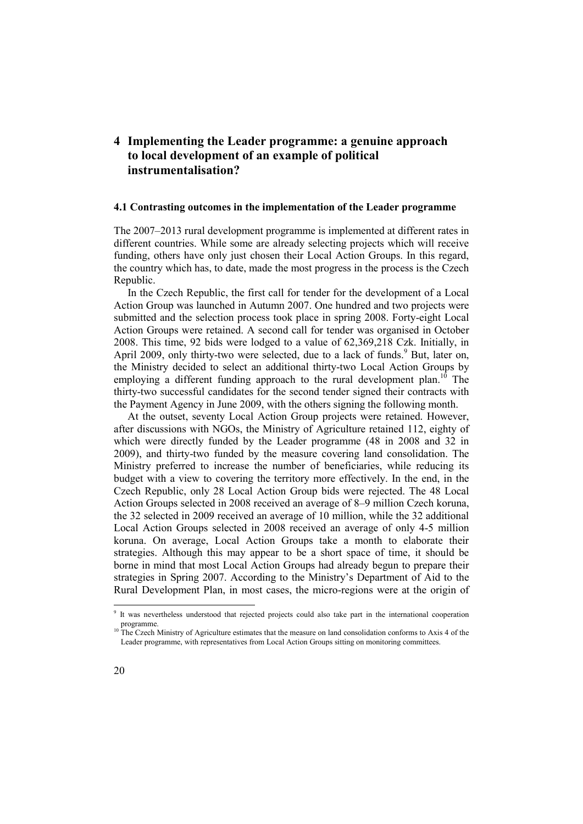## **4 Implementing the Leader programme: a genuine approach to local development of an example of political instrumentalisation?**

#### **4.1 Contrasting outcomes in the implementation of the Leader programme**

The 2007–2013 rural development programme is implemented at different rates in different countries. While some are already selecting projects which will receive funding, others have only just chosen their Local Action Groups. In this regard, the country which has, to date, made the most progress in the process is the Czech Republic.

In the Czech Republic, the first call for tender for the development of a Local Action Group was launched in Autumn 2007. One hundred and two projects were submitted and the selection process took place in spring 2008. Forty-eight Local Action Groups were retained. A second call for tender was organised in October 2008. This time, 92 bids were lodged to a value of 62,369,218 Czk. Initially, in April 2009, only thirty-two were selected, due to a lack of funds.<sup>9</sup> But, later on, the Ministry decided to select an additional thirty-two Local Action Groups by employing a different funding approach to the rural development plan.<sup>10</sup> The thirty-two successful candidates for the second tender signed their contracts with the Payment Agency in June 2009, with the others signing the following month.

At the outset, seventy Local Action Group projects were retained. However, after discussions with NGOs, the Ministry of Agriculture retained 112, eighty of which were directly funded by the Leader programme (48 in 2008 and 32 in 2009), and thirty-two funded by the measure covering land consolidation. The Ministry preferred to increase the number of beneficiaries, while reducing its budget with a view to covering the territory more effectively. In the end, in the Czech Republic, only 28 Local Action Group bids were rejected. The 48 Local Action Groups selected in 2008 received an average of 8–9 million Czech koruna, the 32 selected in 2009 received an average of 10 million, while the 32 additional Local Action Groups selected in 2008 received an average of only 4-5 million koruna. On average, Local Action Groups take a month to elaborate their strategies. Although this may appear to be a short space of time, it should be borne in mind that most Local Action Groups had already begun to prepare their strategies in Spring 2007. According to the Ministry's Department of Aid to the Rural Development Plan, in most cases, the micro-regions were at the origin of

<sup>9</sup> It was nevertheless understood that rejected projects could also take part in the international cooperation programme.<br><sup>10</sup> The Czech Ministry of Agriculture estimates that the measure on land consolidation conforms to Axis 4 of the

Leader programme, with representatives from Local Action Groups sitting on monitoring committees.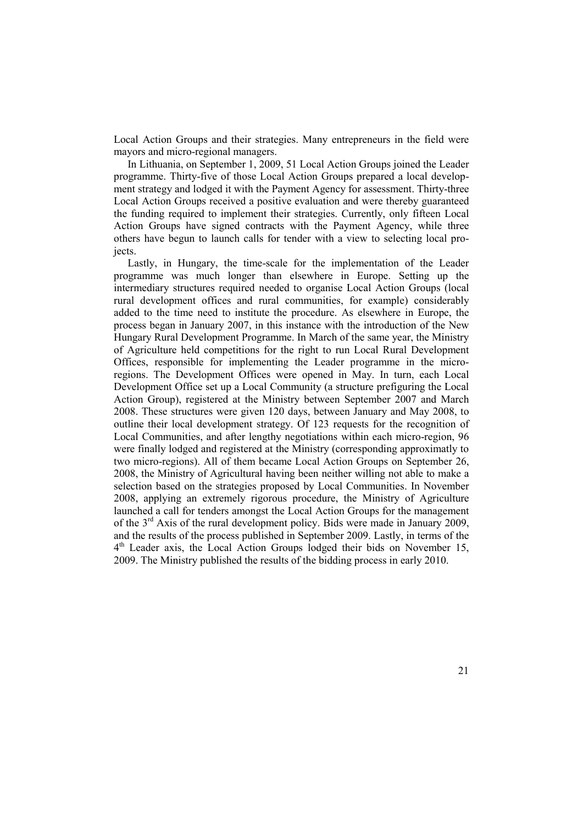Local Action Groups and their strategies. Many entrepreneurs in the field were mayors and micro-regional managers.

In Lithuania, on September 1, 2009, 51 Local Action Groups joined the Leader programme. Thirty-five of those Local Action Groups prepared a local develop ment strategy and lodged it with the Payment Agency for assessment. Thirty-three Local Action Groups received a positive evaluation and were thereby guaranteed the funding required to implement their strategies. Currently, only fifteen Local Action Groups have signed contracts with the Payment Agency, while three others have begun to launch calls for tender with a view to selecting local projects.

Lastly, in Hungary, the time-scale for the implementation of the Leader programme was much longer than elsewhere in Europe. Setting up the intermediary structures required needed to organise Local Action Groups (local rural development offices and rural communities, for example) considerably added to the time need to institute the procedure. As elsewhere in Europe, the process began in January 2007, in this instance with the introduction of the New Hungary Rural Development Programme. In March of the same year, the Ministry of Agriculture held competitions for the right to run Local Rural Development Offices, responsible for implementing the Leader programme in the microregions. The Development Offices were opened in May. In turn, each Local Development Office set up a Local Community (a structure prefiguring the Local Action Group), registered at the Ministry between September 2007 and March 2008. These structures were given 120 days, between January and May 2008, to outline their local development strategy. Of 123 requests for the recognition of Local Communities, and after lengthy negotiations within each micro-region, 96 were finally lodged and registered at the Ministry (corresponding approximatly to two micro-regions). All of them became Local Action Groups on September 26, 2008, the Ministry of Agricultural having been neither willing not able to make a selection based on the strategies proposed by Local Communities. In November 2008, applying an extremely rigorous procedure, the Ministry of Agriculture launched a call for tenders amongst the Local Action Groups for the management of the 3<sup>rd</sup> Axis of the rural development policy. Bids were made in January 2009, and the results of the process published in September 2009. Lastly, in terms of the 4 th Leader axis, the Local Action Groups lodged their bids on November 15, 2009. The Ministry published the results of the bidding process in early 2010.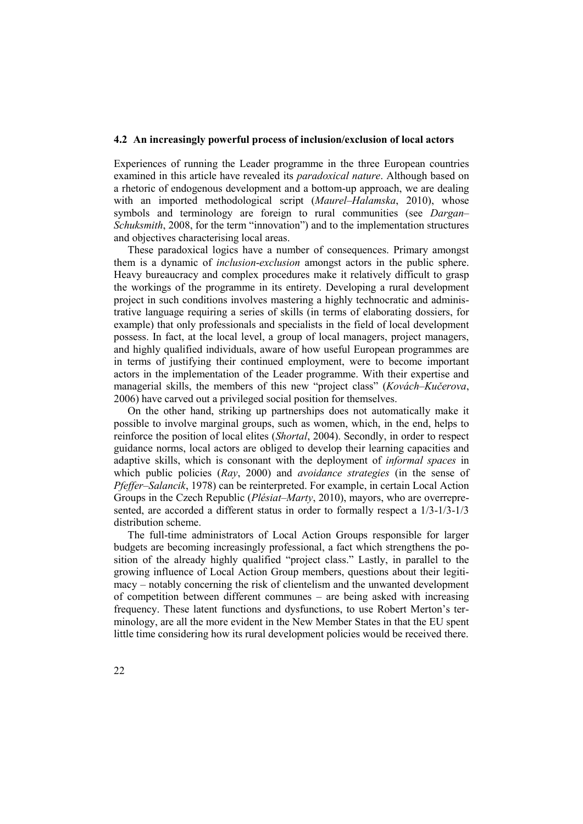#### **4.2 An increasingly powerful process of inclusion/exclusion of local actors**

Experiences of running the Leader programme in the three European countries examined in this article have revealed its *paradoxical nature*. Although based on a rhetoric of endogenous development and a bottom-up approach, we are dealing with an imported methodological script (*Maurel–Halamska*, 2010), whose symbols and terminology are foreign to rural communities (see *Dargan– Schuksmith*, 2008, for the term "innovation") and to the implementation structures and objectives characterising local areas.

These paradoxical logics have a number of consequences. Primary amongst them is a dynamic of *inclusion*-*exclusion* amongst actors in the public sphere. Heavy bureaucracy and complex procedures make it relatively difficult to grasp the workings of the programme in its entirety. Developing a rural development project in such conditions involves mastering a highly technocratic and administrative language requiring a series of skills (in terms of elaborating dossiers, for example) that only professionals and specialists in the field of local development possess. In fact, at the local level, a group of local managers, project managers, and highly qualified individuals, aware of how useful European programmes are in terms of justifying their continued employment, were to become important actors in the implementation of the Leader programme. With their expertise and managerial skills, the members of this new "project class" (*Kovách–Kučerova*, 2006) have carved out a privileged social position for themselves.

On the other hand, striking up partnerships does not automatically make it possible to involve marginal groups, such as women, which, in the end, helps to reinforce the position of local elites (*Shortal*, 2004). Secondly, in order to respect guidance norms, local actors are obliged to develop their learning capacities and adaptive skills, which is consonant with the deployment of *informal spaces* in which public policies (*Ray*, 2000) and *avoidance strategies* (in the sense of *Pfeffer–Salancik*, 1978) can be reinterpreted. For example, in certain Local Action Groups in the Czech Republic (*Plésiat–Marty*, 2010), mayors, who are overrepre sented, are accorded a different status in order to formally respect a 1/3-1/3-1/3 distribution scheme.

The full-time administrators of Local Action Groups responsible for larger budgets are becoming increasingly professional, a fact which strengthens the po sition of the already highly qualified "project class." Lastly, in parallel to the growing influence of Local Action Group members, questions about their legiti macy – notably concerning the risk of clientelism and the unwanted development of competition between different communes – are being asked with increasing frequency. These latent functions and dysfunctions, to use Robert Merton's ter minology, are all the more evident in the New Member States in that the EU spent little time considering how its rural development policies would be received there.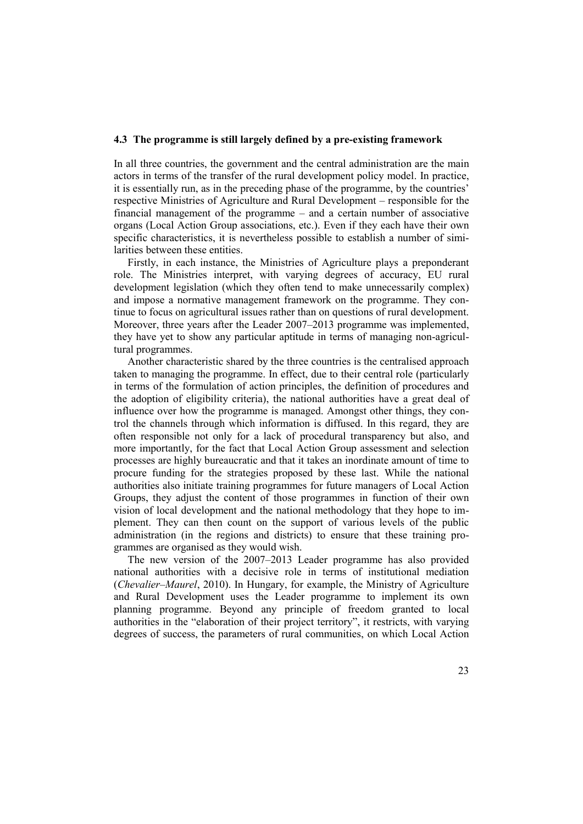#### **4.3 The programme is still largely defined by a pre-existing framework**

In all three countries, the government and the central administration are the main actors in terms of the transfer of the rural development policy model. In practice, it is essentially run, as in the preceding phase of the programme, by the countries' respective Ministries of Agriculture and Rural Development – responsible for the financial management of the programme – and a certain number of associative organs (Local Action Group associations, etc.). Even if they each have their own specific characteristics, it is nevertheless possible to establish a number of similarities between these entities.

Firstly, in each instance, the Ministries of Agriculture plays a preponderant role. The Ministries interpret, with varying degrees of accuracy, EU rural development legislation (which they often tend to make unnecessarily complex) and impose a normative management framework on the programme. They continue to focus on agricultural issues rather than on questions of rural development. Moreover, three years after the Leader 2007–2013 programme was implemented, they have yet to show any particular aptitude in terms of managing non-agricultural programmes.

Another characteristic shared by the three countries is the centralised approach taken to managing the programme. In effect, due to their central role (particularly in terms of the formulation of action principles, the definition of procedures and the adoption of eligibility criteria), the national authorities have a great deal of influence over how the programme is managed. Amongst other things, they control the channels through which information is diffused. In this regard, they are often responsible not only for a lack of procedural transparency but also, and more importantly, for the fact that Local Action Group assessment and selection processes are highly bureaucratic and that it takes an inordinate amount of time to procure funding for the strategies proposed by these last. While the national authorities also initiate training programmes for future managers of Local Action Groups, they adjust the content of those programmes in function of their own vision of local development and the national methodology that they hope to im plement. They can then count on the support of various levels of the public administration (in the regions and districts) to ensure that these training pro grammes are organised as they would wish.

The new version of the 2007–2013 Leader programme has also provided national authorities with a decisive role in terms of institutional mediation (*Chevalier–Maurel*, 2010). In Hungary, for example, the Ministry of Agriculture and Rural Development uses the Leader programme to implement its own planning programme. Beyond any principle of freedom granted to local authorities in the "elaboration of their project territory", it restricts, with varying degrees of success, the parameters of rural communities, on which Local Action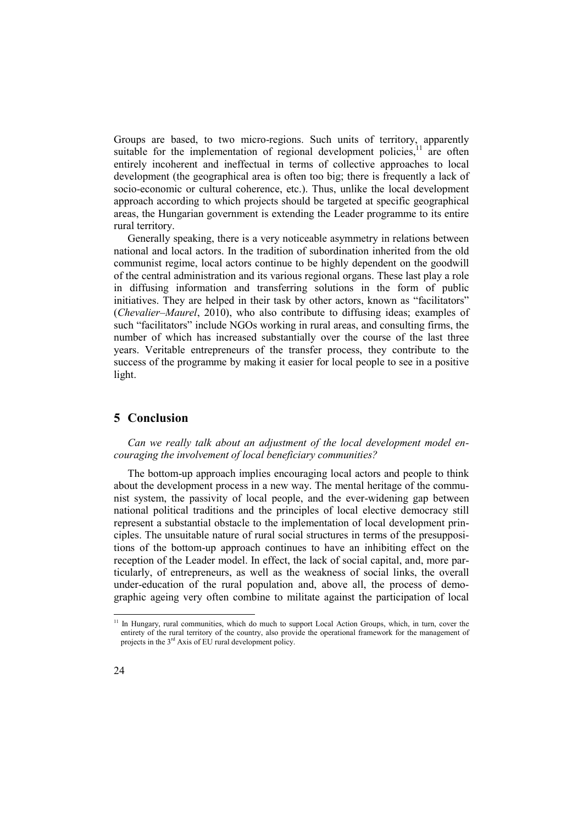Groups are based, to two micro-regions. Such units of territory, apparently suitable for the implementation of regional development policies, $11$  are often entirely incoherent and ineffectual in terms of collective approaches to local development (the geographical area is often too big; there is frequently a lack of socio-economic or cultural coherence, etc.). Thus, unlike the local development approach according to which projects should be targeted at specific geographical areas, the Hungarian government is extending the Leader programme to its entire rural territory.

Generally speaking, there is a very noticeable asymmetry in relations between national and local actors. In the tradition of subordination inherited from the old communist regime, local actors continue to be highly dependent on the goodwill of the central administration and its various regional organs. These last play a role in diffusing information and transferring solutions in the form of public initiatives. They are helped in their task by other actors, known as "facilitators" (*Chevalier–Maurel*, 2010), who also contribute to diffusing ideas; examples of such "facilitators" include NGOs working in rural areas, and consulting firms, the number of which has increased substantially over the course of the last three years. Veritable entrepreneurs of the transfer process, they contribute to the success of the programme by making it easier for local people to see in a positive light.

#### **5 Conclusion**

*Can we really talk about an adjustment of the local development model en couraging the involvement of local beneficiary communities?*

The bottom-up approach implies encouraging local actors and people to think about the development process in a new way. The mental heritage of the commu nist system, the passivity of local people, and the ever-widening gap between national political traditions and the principles of local elective democracy still represent a substantial obstacle to the implementation of local development prin ciples. The unsuitable nature of rural social structures in terms of the presuppositions of the bottom-up approach continues to have an inhibiting effect on the reception of the Leader model. In effect, the lack of social capital, and, more particularly, of entrepreneurs, as well as the weakness of social links, the overall under-education of the rural population and, above all, the process of demo graphic ageing very often combine to militate against the participation of local

<sup>11</sup> In Hungary, rural communities, which do much to support Local Action Groups, which, in turn, cover the entirety of the rural territory of the country, also provide the operational framework for the management of projects in the  $3<sup>rd</sup>$  Axis of EU rural development policy.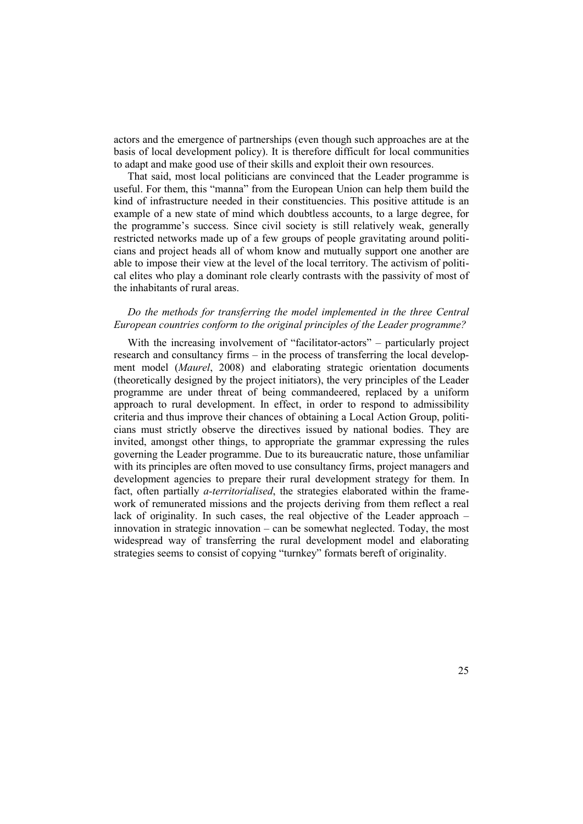actors and the emergence of partnerships (even though such approaches are at the basis of local development policy). It is therefore difficult for local communities to adapt and make good use of their skills and exploit their own resources.

That said, most local politicians are convinced that the Leader programme is useful. For them, this "manna" from the European Union can help them build the kind of infrastructure needed in their constituencies. This positive attitude is an example of a new state of mind which doubtless accounts, to a large degree, for the programme's success. Since civil society is still relatively weak, generally restricted networks made up of a few groups of people gravitating around politi cians and project heads all of whom know and mutually support one another are able to impose their view at the level of the local territory. The activism of politi cal elites who play a dominant role clearly contrasts with the passivity of most of the inhabitants of rural areas.

#### *Do the methods for transferring the model implemented in the three Central European countries conform to the original principles of the Leader programme?*

With the increasing involvement of "facilitator-actors" – particularly project research and consultancy firms – in the process of transferring the local develop ment model (*Maurel*, 2008) and elaborating strategic orientation documents (theoretically designed by the project initiators), the very principles of the Leader programme are under threat of being commandeered, replaced by a uniform approach to rural development. In effect, in order to respond to admissibility criteria and thus improve their chances of obtaining a Local Action Group, politi cians must strictly observe the directives issued by national bodies. They are invited, amongst other things, to appropriate the grammar expressing the rules governing the Leader programme. Due to its bureaucratic nature, those unfamiliar with its principles are often moved to use consultancy firms, project managers and development agencies to prepare their rural development strategy for them. In fact, often partially *a-territorialised*, the strategies elaborated within the frame work of remunerated missions and the projects deriving from them reflect a real lack of originality. In such cases, the real objective of the Leader approach – innovation in strategic innovation – can be somewhat neglected. Today, the most widespread way of transferring the rural development model and elaborating strategies seems to consist of copying "turnkey" formats bereft of originality.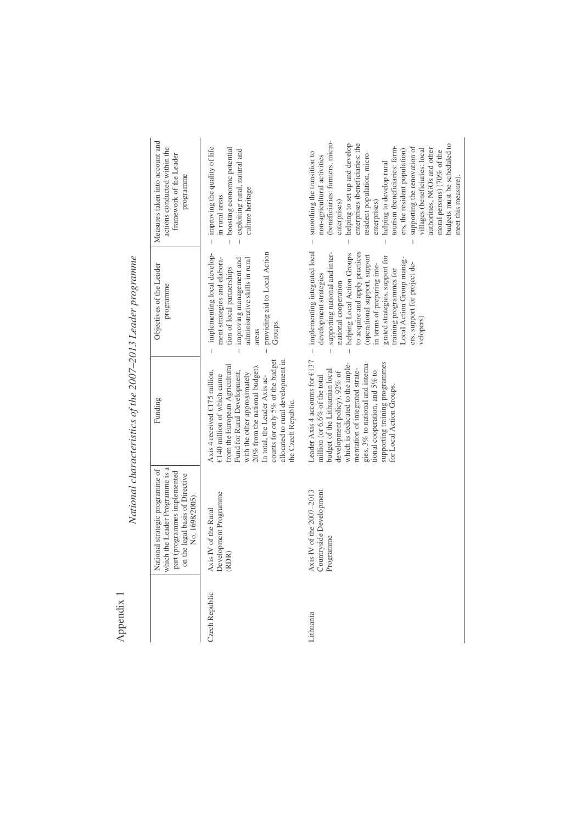|  | ŗ |
|--|---|
|  |   |
|  |   |
|  |   |
|  |   |
|  |   |
|  |   |

National characteristics of the 2007-2013 Leader programme *National characteristics of the 2007–2013 Leader programme*

|                | which the Leader Programme is a<br>National strategic programme of<br>part (programmes implemented<br>on the legal basis of Directive<br>No. 1698/2005) | Funding                                                                                                                                                                                                                                                                                                                                      | Objectives of the Leader<br>programme                                                                                                                                                                                                                                                                                                                                                      | Measures taken into account and<br>actions conducted within the<br>framework of the Leader<br>programme                                                                                                                                                                                                                                                                                                                                                                                                                                                  |
|----------------|---------------------------------------------------------------------------------------------------------------------------------------------------------|----------------------------------------------------------------------------------------------------------------------------------------------------------------------------------------------------------------------------------------------------------------------------------------------------------------------------------------------|--------------------------------------------------------------------------------------------------------------------------------------------------------------------------------------------------------------------------------------------------------------------------------------------------------------------------------------------------------------------------------------------|----------------------------------------------------------------------------------------------------------------------------------------------------------------------------------------------------------------------------------------------------------------------------------------------------------------------------------------------------------------------------------------------------------------------------------------------------------------------------------------------------------------------------------------------------------|
| Czech Republic | Development Programme<br>Axis IV of the Rural<br>(RDR)                                                                                                  | counts for only 5% of the budget<br>allocated to rural development in<br>from the European Agricultural<br>20% from the national budget)<br>Axis 4 received $E175$ million,<br>Fund for Rural Development,<br>with the other approximately<br>€140 million of which came<br>In total, the Leader Axis ac-<br>the Czech Republic.             | providing aid to Local Action<br>implementing local develop-<br>ment strategies and elabora-<br>administrative skills in rural<br>improving management and<br>tion of local partnerships<br>Groups.<br>areas                                                                                                                                                                               | improving the quality of life<br>boosting economic potential<br>exploiting rural, natural and<br>culture heritage<br>in rural areas<br>$\overline{1}$                                                                                                                                                                                                                                                                                                                                                                                                    |
| Lithuania      | Axis IV of the 2007-2013<br>Countryside Development<br>Programme                                                                                        | Leader Axis 4 accounts for €137<br>gies, 3% to national and interna-<br>supporting training programmes<br>which is dedicated to the imple-<br>mentation of integrated strate-<br>budget of the Lithuanian local<br>tional cooperation, and 5% to<br>development policy), 92% of<br>million (or 6.6% of the total<br>for Local Action Groups. | - implementing integrated local<br>to acquire and apply practices<br>supporting national and inter-<br>helping Local Action Groups<br>(operational support, support<br>grated strategies, support for<br>Local Action Group manag-<br>ers, support for project de-<br>in terms of preparing inte-<br>training programmes for<br>development strategies<br>national cooperation<br>velopers | (beneficiaries: farmers, micro-<br>helping to set up and develop<br>budgets must be scheduled to<br>enterprises (beneficiaries: the<br>tourism (beneficiaries: farm-<br>supporting the renovation of<br>villages (beneficiaries: local<br>authorities, NGOs and other<br>ers, the resident population)<br>moral persons) (70% of the<br>smoothing the transition to<br>resident population, micro-<br>non-agricultural activities<br>helping to develop rural<br>meet this measure).<br>enterprises)<br>enterprises)<br>$\overline{1}$<br>$\overline{1}$ |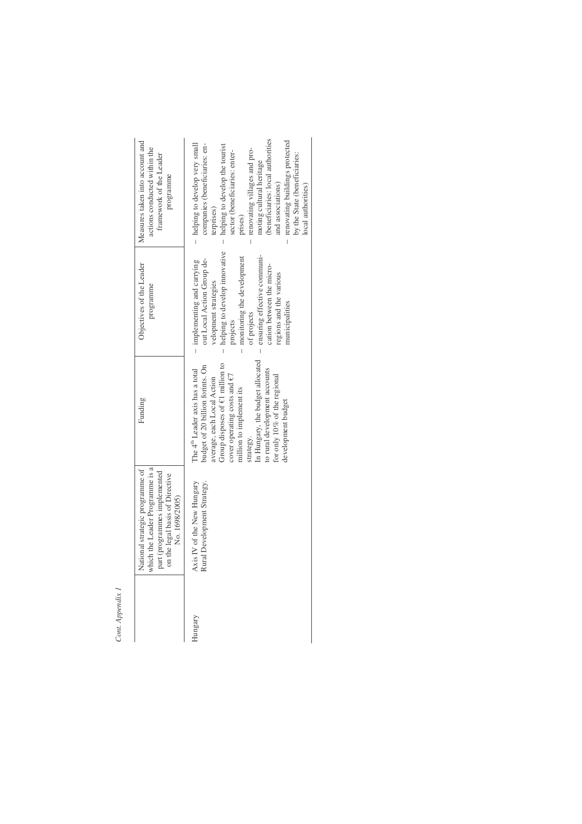| ۰ |
|---|
|   |
|   |
| ī |

|                  | Measures taken into account and<br>actions conducted within the<br>framework of the Leader<br>programme                                                 | (beneficiaries: local authorities<br>- renovating buildings protected<br>- helping to develop very small<br>companies (beneficiaries: en-<br>- helping to develop the tourist<br>- renovating villages and pro-<br>sector (beneficiaries: enter-<br>by the State (beneficiaries:<br>moting cultural heritage<br>and associations)<br>local authorities)        |  |
|------------------|---------------------------------------------------------------------------------------------------------------------------------------------------------|----------------------------------------------------------------------------------------------------------------------------------------------------------------------------------------------------------------------------------------------------------------------------------------------------------------------------------------------------------------|--|
|                  |                                                                                                                                                         | terprises)<br>prises)                                                                                                                                                                                                                                                                                                                                          |  |
|                  | Objectives of the Leader<br>programme                                                                                                                   | helping to develop innovative<br>ensuring effective communi-<br>monitoring the development<br>out Local Action Group de-<br>- implementing and carrying<br>cation between the micro-<br>regions and the various<br>velopment strategies<br>municipalities<br>of projects<br>projects<br>$\overline{1}$<br>$\overline{1}$                                       |  |
|                  | Funding                                                                                                                                                 | In Hungary, the budget allocated<br>Group disposes of €1 million to<br>budget of 20 billion forints. On<br>to rural development accounts<br>The 4 <sup>th</sup> Leader axis has a total<br>for only 10% of the regional<br>cover operating costs and $\epsilon$ 7<br>average, each Local Action<br>million to implement its<br>development budget<br>strategy. |  |
|                  | which the Leader Programme is a<br>National strategic programme of<br>part (programmes implemented<br>on the legal basis of Directive<br>No. 1698/2005) | Rural Development Strategy.<br>Axis IV of the New Hungary                                                                                                                                                                                                                                                                                                      |  |
| Cont. Appendix 1 |                                                                                                                                                         | Hungary                                                                                                                                                                                                                                                                                                                                                        |  |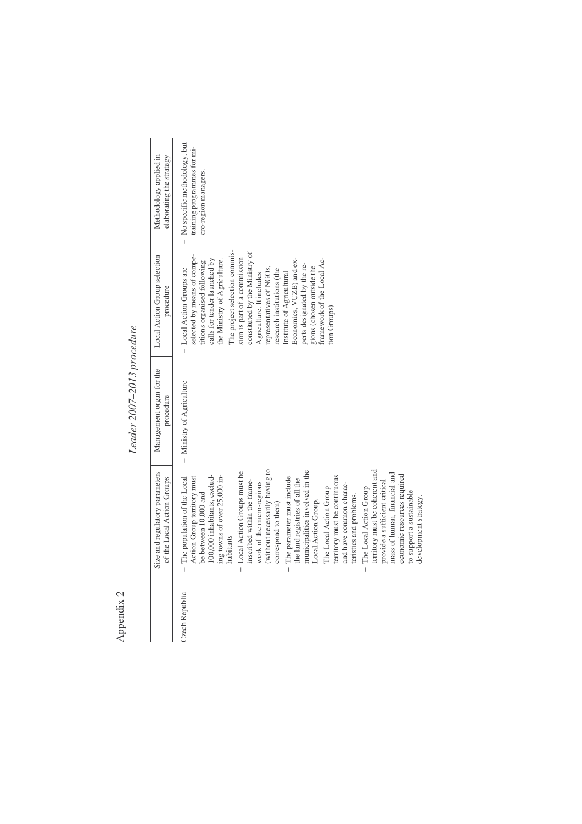| ś |
|---|
| ŷ |
|   |
|   |
|   |
|   |

# Leader 2007-2013 procedure *Leader 2007–2013 procedure*

|                | Size and regulatory parameters                                                                                                                                                                                                                                                                                                                                                                                                                                                                                                                                                                                                                                                                                                                                                                                                                                     | Management organ for the    | Local Action Group selection                                                                                                                                                                                                                                                                                                                                                                                                                                                                                                          | Methodology applied in                                                                |
|----------------|--------------------------------------------------------------------------------------------------------------------------------------------------------------------------------------------------------------------------------------------------------------------------------------------------------------------------------------------------------------------------------------------------------------------------------------------------------------------------------------------------------------------------------------------------------------------------------------------------------------------------------------------------------------------------------------------------------------------------------------------------------------------------------------------------------------------------------------------------------------------|-----------------------------|---------------------------------------------------------------------------------------------------------------------------------------------------------------------------------------------------------------------------------------------------------------------------------------------------------------------------------------------------------------------------------------------------------------------------------------------------------------------------------------------------------------------------------------|---------------------------------------------------------------------------------------|
|                | of the Local Action Groups                                                                                                                                                                                                                                                                                                                                                                                                                                                                                                                                                                                                                                                                                                                                                                                                                                         | procedure                   | procedure                                                                                                                                                                                                                                                                                                                                                                                                                                                                                                                             | elaborating the strategy                                                              |
| Czech Republic | (without necessarily having to<br>territory must be coherent and<br>Local Action Groups must be<br>municipalities involved in the<br>mass of human, financial and<br>economic resources required<br>100,000 inhabitants, exclud-<br>ing towns of over 25,000 in-<br>territory must be continuous<br>The parameter must include<br>Action Group territory must<br>The population of the Local<br>the land registries of all the<br>inscribed within the frame-<br>provide a sufficient critical<br>work of the micro-regions<br>and have common charac-<br>The Local Action Group<br>The Local Action Group<br>to support a sustainable<br>be between 10,000 and<br>teristics and problems.<br>development strategy.<br>Local Action Group.<br>correspond to them)<br>habitants<br>$\overline{\phantom{a}}$<br>$\begin{array}{c} \hline \end{array}$<br>$\mathsf I$ | $-$ Ministry of Agriculture | The project selection commis-<br>constituted by the Ministry of<br>selected by means of compe-<br>sion is part of a commission<br>calls for tender launched by<br>framework of the Local Ac-<br>the Ministry of Agriculture.<br>Economics, VUZE) and ex-<br>titions organised following<br>perts designated by the re-<br>gions (chosen outside the<br>representatives of NGOs,<br>- Local Action Groups are<br>research institutions (the<br>Institute of Agricultural<br>Agriculture. It includes<br>tion Groups)<br>$\overline{1}$ | - No specific methodology, but<br>training programmes for mi-<br>cro-region managers. |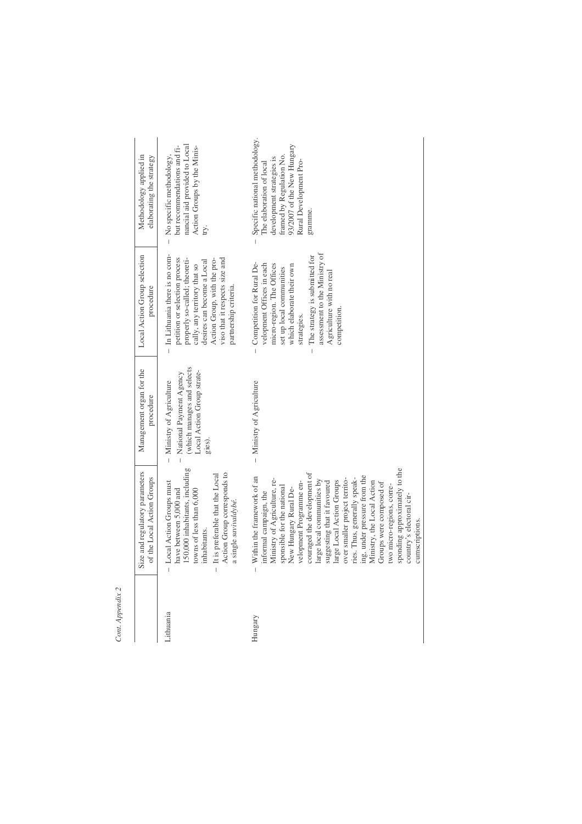|           | Size and regulatory parameters<br>of the Local Action Groups                                                                                                                                                                                                                                                                                                                                                                                                                                                                                                                                     | Management organ for the<br>procedure                                                                                                                        | Local Action Group selection<br>procedure                                                                                                                                                                                                                                                  | Methodology applied in<br>elaborating the strategy                                                                                                                                     |
|-----------|--------------------------------------------------------------------------------------------------------------------------------------------------------------------------------------------------------------------------------------------------------------------------------------------------------------------------------------------------------------------------------------------------------------------------------------------------------------------------------------------------------------------------------------------------------------------------------------------------|--------------------------------------------------------------------------------------------------------------------------------------------------------------|--------------------------------------------------------------------------------------------------------------------------------------------------------------------------------------------------------------------------------------------------------------------------------------------|----------------------------------------------------------------------------------------------------------------------------------------------------------------------------------------|
| Lithuania | 150,000 inhabitants, including<br>Action Group corresponds to<br>It is preferable that the Local<br>Local Action Groups must<br>have between 5,000 and<br>towns of less than 6,000<br>a single savivaldybé.<br>inhabitants.<br>$\overline{1}$<br>$\overline{1}$                                                                                                                                                                                                                                                                                                                                  | (which manages and selects<br>Local Action Group strate-<br>National Payment Agency<br>Ministry of Agriculture<br>gies).<br>$\overline{1}$<br>$\overline{1}$ | - In Lithuania there is no com-<br>petition or selection process<br>viso that it respects size and<br>properly so-called; theoreti-<br>Action Group, with the pro-<br>desires can become a Local<br>cally, any territory that so<br>partnership criteria.                                  | nancial aid provided to Local<br>but recommendations and fi-<br>Action Groups by the Minis-<br>No specific methodology,<br>try.<br>$\overline{1}$                                      |
| Hungary   | sponding approximately to the<br>couraged the development of<br>Within the framework of an<br>ing, under pressure from the<br>ries. Thus, generally speak-<br>Ministry of Agriculture, re-<br>over smaller project territo-<br>arge local communities by<br>large Local Action Groups<br>Ministry, the Local Action<br>suggesting that it favoured<br>velopment Programme en-<br>Groups were composed of<br>sponsible for the national<br>two micro-regions, corre-<br>New Hungary Rural De-<br>informal campaign, the<br>country's electoral cir-<br>cumscriptions.<br>$\overline{\phantom{a}}$ | $-$ Ministry of Agriculture                                                                                                                                  | assessment to the Ministry of<br>The strategy is submitted for<br>Competition for Rural De-<br>velopment Offices in each<br>micro-region. The Offices<br>which elaborate their own<br>set up local communities<br>Agriculture with no real<br>competition<br>strategies.<br>$\overline{1}$ | Specific national methodology.<br>93/2007 of the New Hungary<br>framed by Regulation No.<br>development strategies is<br>Rural Development Pro-<br>The elaboration of local<br>gramme. |

*Cont. Appendix 2*

Cont. Appendix 2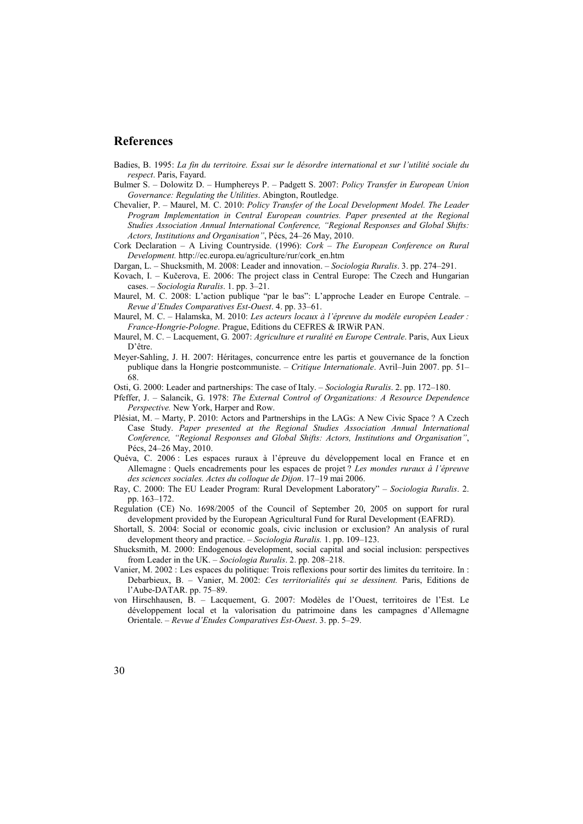### **References**

- Badies, B. 1995: *La fin du territoire. Essai sur le désordre international et sur l'utilité sociale du respect*. Paris, Fayard.
- Bulmer S. Dolowitz D. Humphereys P. Padgett S. 2007: *Policy Transfer in European Union Governance: Regulating the Utilities*. Abington, Routledge.
- Chevalier, P. Maurel, M. C. 2010: *Policy Transfer of the Local Development Model. The Leader Program Implementation in Central European countries. Paper presented at the Regional Studies Association Annual International Conference, "Regional Responses and Global Shifts: Actors, Institutions and Organisation"*, Pécs, 24–26 May, 2010.
- Cork Declaration A Living Countryside. (1996): *Cork – The European Conference on Rural Development.* [http://ec.europa.eu/agriculture/rur/cork\\_en.htm](http://ec.europa.eu/agriculture/rur/cork_en.htm)
- Dargan, L. Shucksmith, M. 2008: Leader and innovation. *Sociologia Ruralis*. 3. pp. 274–291.
- Kovach, I. Kučerova, E. 2006: The project class in Central Europe: The Czech and Hungarian cases. – *Sociologia Ruralis*. 1. pp. 3–21.
- Maurel, M. C. 2008: L'action publique "par le bas": L'approche Leader en Europe Centrale. *Revue d'Etudes Comparatives Est-Ouest*. 4. pp. 33–61.
- Maurel, M. C. Halamska, M. 2010: *Les acteurs locaux à l'épreuve du modèle européen Leader : France-Hongrie-Pologne*. Prague, Editions du CEFRES & IRWiR PAN.
- Maurel, M. C. Lacquement, G. 2007: *Agriculture et ruralité en Europe Centrale*. Paris, Aux Lieux D'être.
- Meyer-Sahling, J. H. 2007: Héritages, concurrence entre les partis et gouvernance de la fonction publique dans la Hongrie postcommuniste. – *Critique Internationale*. Avril–Juin 2007. pp. 51– 68.
- Osti, G. 2000: Leader and partnerships: The case of Italy. *Sociologia Ruralis*. 2. pp. 172–180.
- Pfeffer, J. Salancik, G. 1978: *The External Control of Organizations: A Resource Dependence Perspective.* New York, Harper and Row.
- Plésiat, M. Marty, P. 2010: Actors and Partnerships in the LAGs: A New Civic Space ? A Czech Case Study. *Paper presented at the Regional Studies Association Annual International Conference, "Regional Responses and Global Shifts: Actors, Institutions and Organisation"*, Pécs, 24–26 May, 2010.
- Quéva, C. 2006 : Les espaces ruraux à l'épreuve du développement local en France et en Allemagne : Quels encadrements pour les espaces de projet ? *Les mondes ruraux à l'épreuve des sciences sociales. Actes du colloque de Dijon*. 17–19 mai 2006.
- Ray, C. 2000: The EU Leader Program: Rural Development Laboratory" *Sociologia Ruralis*. 2. pp. 163–172.
- Regulation (CE) No. 1698/2005 of the Council of September 20, 2005 on support for rural development provided by the European Agricultural Fund for Rural Development (EAFRD).
- Shortall, S. 2004: Social or economic goals, civic inclusion or exclusion? An analysis of rural development theory and practice. – *Sociologia Ruralis.* 1. pp. 109–123.
- Shucksmith, M. 2000: Endogenous development, social capital and social inclusion: perspectives from Leader in the UK. – *Sociologia Ruralis*. 2. pp. 208–218.
- Vanier, M. 2002 : Les espaces du politique: Trois reflexions pour sortir des limites du territoire. In : Debarbieux, B. – Vanier, M. 2002: *Ces territorialités qui se dessinent.* Paris, Editions de l'Aube-DATAR. pp. 75–89.
- von Hirschhausen, B. Lacquement, G. 2007: Modèles de l'Ouest, territoires de l'Est. Le développement local et la valorisation du patrimoine dans les campagnes d'Allemagne Orientale. – *Revue d'Etudes Comparatives Est-Ouest*. 3. pp. 5–29.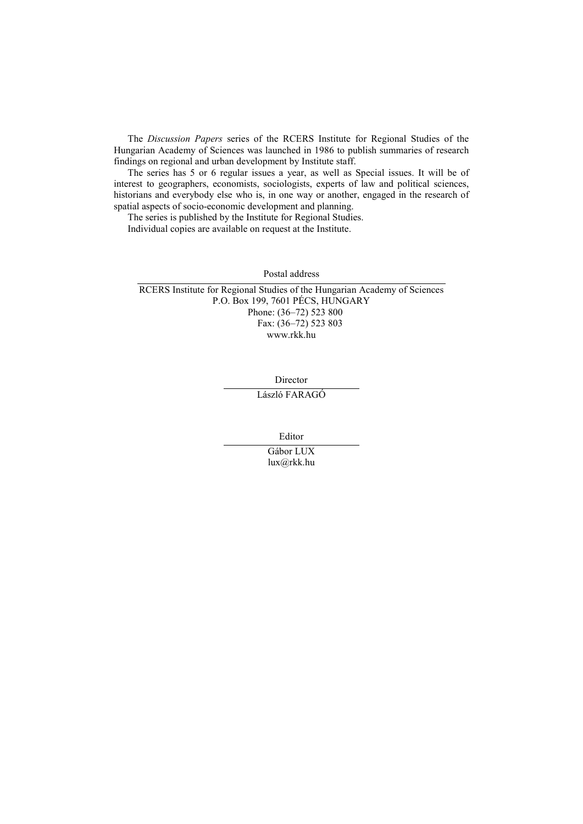The *Discussion Papers* series of the RCERS Institute for Regional Studies of the Hungarian Academy of Sciences was launched in 1986 to publish summaries of research findings on regional and urban development by Institute staff.

The series has 5 or 6 regular issues a year, as well as Special issues. It will be of interest to geographers, economists, sociologists, experts of law and political sciences, historians and everybody else who is, in one way or another, engaged in the research of spatial aspects of socio-economic development and planning.

The series is published by the Institute for Regional Studies.

Individual copies are available on request at the Institute.

Postal address

RCERS Institute for Regional Studies of the Hungarian Academy of Sciences P.O. Box 199, 7601 PÉCS, HUNGARY Phone: (36–72) 523 800 Fax: (36–72) 523 803 <www.rkk.hu>

**Director** 

László FARAGÓ

Editor

Gábor LUX [lux@rkk.hu](mailto:lux@rkk.hu)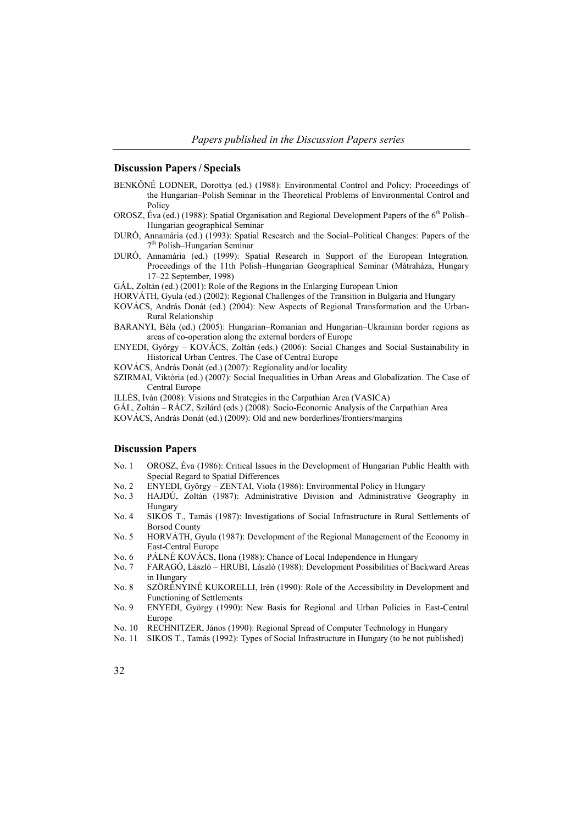#### **Discussion Papers/ Specials**

- BENKŐNÉ LODNER, Dorottya (ed.) (1988): Environmental Control and Policy: Proceedings of the Hungarian–Polish Seminar in the Theoretical Problems of Environmental Control and Policy
- OROSZ, Éva (ed.) (1988): Spatial Organisation and Regional Development Papers of the 6<sup>th</sup> Polish– Hungarian geographical Seminar
- DURÓ, Annamária (ed.) (1993): Spatial Research and the Social–Political Changes: Papers of the 7 th Polish–Hungarian Seminar
- DURÓ, Annamária (ed.) (1999): Spatial Research in Support of the European Integration. Proceedings of the 11th Polish–Hungarian Geographical Seminar (Mátraháza, Hungary 17–22 September, 1998)
- GÁL, Zoltán (ed.) (2001): Role of the Regions in the Enlarging European Union
- HORVÁTH, Gyula (ed.) (2002): Regional Challenges of the Transition in Bulgaria and Hungary
- KOVÁCS, András Donát (ed.) (2004): New Aspects of Regional Transformation and the Urban- Rural Relationship
- BARANYI, Béla (ed.) (2005): Hungarian–Romanian and Hungarian–Ukrainian border regions as areas of co-operation along the external borders of Europe
- ENYEDI, György KOVÁCS, Zoltán (eds.) (2006): Social Changes and Social Sustainability in Historical Urban Centres. The Case of Central Europe
- KOVÁCS, András Donát (ed.) (2007): Regionality and/or locality
- SZIRMAI, Viktória (ed.) (2007): Social Inequalities in Urban Areas and Globalization. The Case of Central Europe
- ILLÉS, Iván (2008): Visions and Strategies in the Carpathian Area (VASICA)
- GÁL, Zoltán RÁCZ, Szilárd (eds.) (2008): Socio-Economic Analysis of the Carpathian Area
- KOVÁCS, András Donát (ed.) (2009): Old and new borderlines/frontiers/margins

#### **Discussion Papers**

- No. 1 OROSZ, Éva (1986): Critical Issues in the Development of Hungarian Public Health with Special Regard to Spatial Differences
- No. 2 ENYEDI, György ZENTAI, Viola (1986): Environmental Policy in Hungary
- HAJDÚ, Zoltán (1987): Administrative Division and Administrative Geography in Hungary
- No. 4 SIKOS T., Tamás (1987): Investigations of Social Infrastructure in Rural Settlements of Borsod County
- No. 5 HORVÁTH, Gyula (1987): Development of the Regional Management of the Economy in East-Central Europe
- No. 6 PÁLNÉ KOVÁCS, Ilona (1988): Chance of Local Independence in Hungary<br>No. 7 FARAGÓ. László HRUBI. László (1988): Development Possibilities of Ba
- FARAGÓ, László HRUBI, László (1988): Development Possibilities of Backward Areas in Hungary
- No. 8 SZÖRÉNYINÉ KUKORELLI, Irén (1990): Role of the Accessibility in Development and Functioning of Settlements
- No. 9 ENYEDI, György (1990): New Basis for Regional and Urban Policies in East-Central Europe
- No. 10 RECHNITZER, János (1990): Regional Spread of Computer Technology in Hungary
- No. 11 SIKOS T., Tamás (1992): Types of Social Infrastructure in Hungary (to be not published)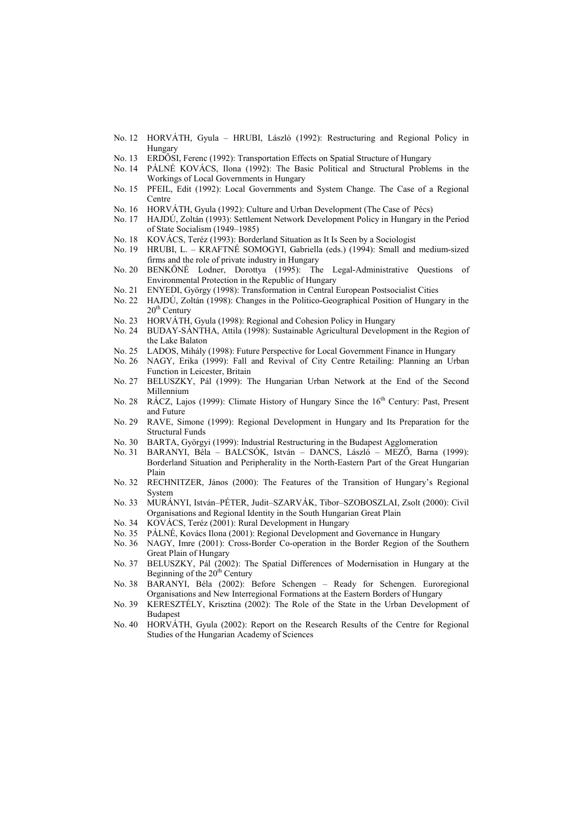- No. 12 HORVÁTH, Gyula HRUBI, László (1992): Restructuring and Regional Policy in Hungary
- No. 13 ERDŐSI, Ferenc (1992): Transportation Effects on Spatial Structure of Hungary
- No. 14 PÁLNÉ KOVÁCS, Ilona (1992): The Basic Political and Structural Problems in the Workings of Local Governments in Hungary
- No. 15 PFEIL, Edit (1992): Local Governments and System Change. The Case of a Regional Centre
- No. 16 HORVÁTH, Gyula (1992): Culture and Urban Development (The Case of Pécs)
- No. 17 HAJDÚ, Zoltán (1993): Settlement Network Development Policy in Hungary in the Period of State Socialism (1949–1985)
- No. 18 KOVÁCS, Teréz (1993): Borderland Situation as It Is Seen by a Sociologist No. 19 HRUBI. L. KRAFTNÉ SOMOGYI, Gabriella (eds.) (1994): Small and
- HRUBI, L. KRAFTNÉ SOMOGYI, Gabriella (eds.) (1994): Small and medium-sized firms and the role of private industry in Hungary
- No. 20 BENKŐNÉ Lodner, Dorottya (1995): The Legal-Administrative Questions of Environmental Protection in the Republic of Hungary
- No. 21 ENYEDI, György (1998): Transformation in Central European Postsocialist Cities
- No. 22 HAJDÚ, Zoltán (1998): Changes in the Politico-Geographical Position of Hungary in the  $20<sup>th</sup>$  Century
- No. 23 HORVÁTH, Gyula (1998): Regional and Cohesion Policy in Hungary
- No. 24 BUDAY-SÁNTHA, Attila (1998): Sustainable Agricultural Development in the Region of the Lake Balaton
- No. 25 LADOS, Mihály (1998): Future Perspective for Local Government Finance in Hungary
- No. 26 NAGY, Erika (1999): Fall and Revival of City Centre Retailing: Planning an Urban Function in Leicester, Britain
- No. 27 BELUSZKY, Pál (1999): The Hungarian Urban Network at the End of the Second Millennium
- No. 28 RÁCZ, Lajos (1999): Climate History of Hungary Since the 16<sup>th</sup> Century: Past, Present and Future
- No. 29 RAVE, Simone (1999): Regional Development in Hungary and Its Preparation for the Structural Funds
- No. 30 BARTA, Györgyi (1999): Industrial Restructuring in the Budapest Agglomeration
- No. 31 BARANYI, Béla BALCSÓK, István DANCS, László MEZŐ, Barna (1999): Borderland Situation and Peripherality in the North-Eastern Part of the Great Hungarian Plain
- No. 32 RECHNITZER, János (2000): The Features of the Transition of Hungary's Regional System
- No. 33 MURÁNYI, István–PÉTER, Judit–SZARVÁK, Tibor–SZOBOSZLAI, Zsolt (2000): Civil Organisations and Regional Identity in the South Hungarian Great Plain
- No. 34 KOVÁCS, Teréz (2001): Rural Development in Hungary
- No. 35 PÁLNÉ, Kovács Ilona (2001): Regional Development and Governance in Hungary
- No. 36 NAGY, Imre (2001): Cross-Border Co-operation in the Border Region of the Southern Great Plain of Hungary
- No. 37 BELUSZKY, Pál (2002): The Spatial Differences of Modernisation in Hungary at the Beginning of the  $20<sup>th</sup>$  Century
- No. 38 BARANYI, Béla (2002): Before Schengen Ready for Schengen. Euroregional Organisations and New Interregional Formations at the Eastern Borders of Hungary
- No. 39 KERESZTÉLY, Krisztina (2002): The Role of the State in the Urban Development of Budapest
- No. 40 HORVÁTH, Gyula (2002): Report on the Research Results of the Centre for Regional Studies of the Hungarian Academy of Sciences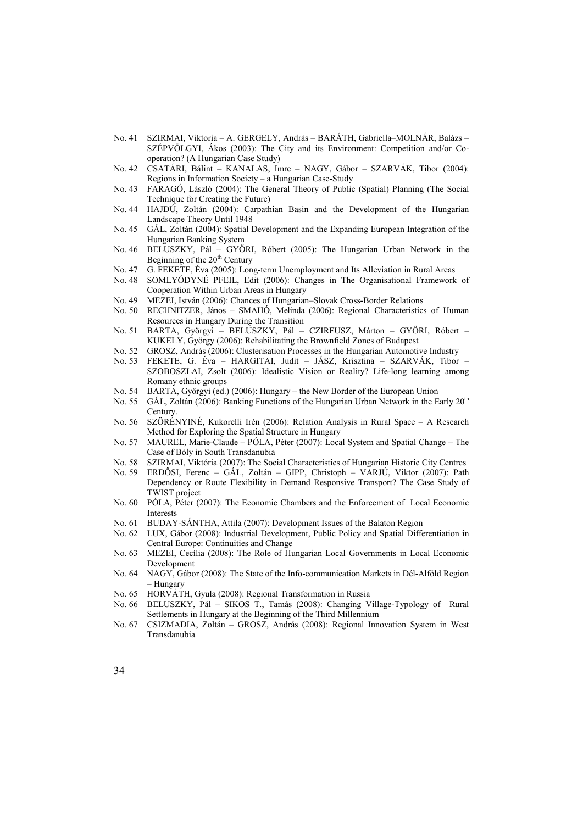- No. 41 SZIRMAI, Viktoria A. GERGELY, András BARÁTH, Gabriella–MOLNÁR, Balázs SZÉPVÖLGYI, Ákos (2003): The City and its Environment: Competition and/or Co operation? (A Hungarian Case Study)
- No. 42 CSATÁRI, Bálint KANALAS, Imre NAGY, Gábor SZARVÁK, Tibor (2004): Regions in Information Society – a Hungarian Case-Study
- No. 43 FARAGÓ, László (2004): The General Theory of Public (Spatial) Planning (The Social Technique for Creating the Future)
- No. 44 HAJDÚ, Zoltán (2004): Carpathian Basin and the Development of the Hungarian Landscape Theory Until 1948
- No. 45 GÁL, Zoltán (2004): Spatial Development and the Expanding European Integration of the Hungarian Banking System
- No. 46 BELUSZKY, Pál GYŐRI, Róbert (2005): The Hungarian Urban Network in the Beginning of the  $20<sup>th</sup>$  Century
- No. 47 G. FEKETE, Éva (2005): Long-term Unemployment and Its Alleviation in Rural Areas
- No. 48 SOMLYÓDYNÉ PFEIL, Edit (2006): Changes in The Organisational Framework of Cooperation Within Urban Areas in Hungary
- No. 49 MEZEI, István (2006): Chances of Hungarian–Slovak Cross-Border Relations
- RECHNITZER, János SMAHÓ, Melinda (2006): Regional Characteristics of Human Resources in Hungary During the Transition
- No. 51 BARTA, Györgyi BELUSZKY, Pál CZIRFUSZ, Márton GYŐRI, Róbert KUKELY, György (2006): Rehabilitating the Brownfield Zones of Budapest
- No. 52 GROSZ, András (2006): Clusterisation Processes in the Hungarian Automotive Industry<br>No. 53 FEKETE, G. Éva HARGITAI, Judit JÁSZ, Krisztina SZARVÁK, Tibor
- FEKETE, G. Éva HARGITAI, Judit JÁSZ, Krisztina SZARVÁK, Tibor SZOBOSZLAI, Zsolt (2006): Idealistic Vision or Reality? Life-long learning among Romany ethnic groups
- No. 54 BARTA, Györgyi (ed.) (2006): Hungary the New Border of the European Union
- No. 55 GÁL, Zoltán (2006): Banking Functions of the Hungarian Urban Network in the Early  $20^{th}$ Century.
- No. 56 SZÖRÉNYINÉ, Kukorelli Irén (2006): Relation Analysis in Rural Space A Research Method for Exploring the Spatial Structure in Hungary
- No. 57 MAUREL, Marie-Claude PÓLA, Péter (2007): Local System and Spatial Change The Case of Bóly in South Transdanubia
- No. 58 SZIRMAI, Viktória (2007): The Social Characteristics of Hungarian Historic City Centres
- No. 59 ERDŐSI, Ferenc GÁL, Zoltán GIPP, Christoph VARJÚ, Viktor (2007): Path Dependency or Route Flexibility in Demand Responsive Transport? The Case Study of TWIST project
- No. 60 PÓLA, Péter (2007): The Economic Chambers and the Enforcement of Local Economic Interests
- No. 61 BUDAY-SÁNTHA, Attila (2007): Development Issues of the Balaton Region
- No. 62 LUX, Gábor (2008): Industrial Development, Public Policy and Spatial Differentiation in Central Europe: Continuities and Change
- No. 63 MEZEI, Cecília (2008): The Role of Hungarian Local Governments in Local Economic Development
- No. 64 NAGY, Gábor (2008): The State of the Info-communication Markets in Dél-Alföld Region – Hungary
- No. 65 HORVÁTH, Gyula (2008): Regional Transformation in Russia
- No. 66 BELUSZKY, Pál SIKOS T., Tamás (2008): Changing Village-Typology of Rural Settlements in Hungary at the Beginning of the Third Millennium
- No. 67 CSIZMADIA, Zoltán GROSZ, András (2008): Regional Innovation System in West Transdanubia